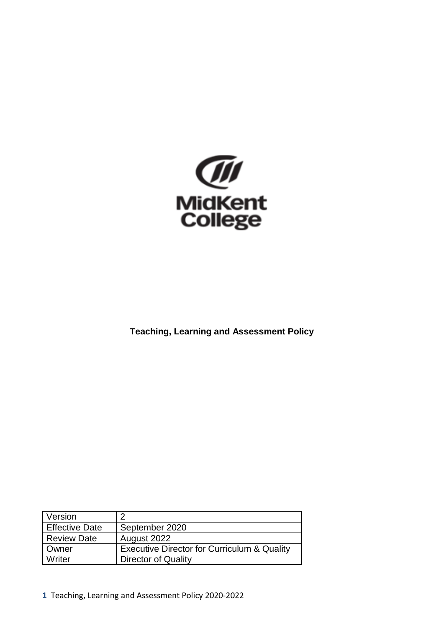

**Teaching, Learning and Assessment Policy**

| Version               |                                                        |
|-----------------------|--------------------------------------------------------|
| <b>Effective Date</b> | September 2020                                         |
| <b>Review Date</b>    | August 2022                                            |
| Owner                 | <b>Executive Director for Curriculum &amp; Quality</b> |
| Writer                | Director of Quality                                    |

**1** Teaching, Learning and Assessment Policy 2020-2022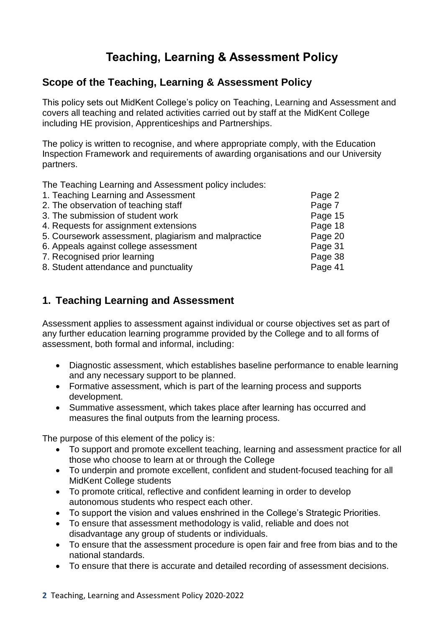# **Teaching, Learning & Assessment Policy**

## **Scope of the Teaching, Learning & Assessment Policy**

This policy sets out MidKent College's policy on Teaching, Learning and Assessment and covers all teaching and related activities carried out by staff at the MidKent College including HE provision, Apprenticeships and Partnerships.

The policy is written to recognise, and where appropriate comply, with the Education Inspection Framework and requirements of awarding organisations and our University partners.

The Teaching Learning and Assessment policy includes:

| Page 2  |
|---------|
| Page 7  |
| Page 15 |
| Page 18 |
| Page 20 |
| Page 31 |
| Page 38 |
| Page 41 |
|         |

## **1. Teaching Learning and Assessment**

Assessment applies to assessment against individual or course objectives set as part of any further education learning programme provided by the College and to all forms of assessment, both formal and informal, including:

- Diagnostic assessment, which establishes baseline performance to enable learning and any necessary support to be planned.
- Formative assessment, which is part of the learning process and supports development.
- Summative assessment, which takes place after learning has occurred and measures the final outputs from the learning process.

The purpose of this element of the policy is:

- To support and promote excellent teaching, learning and assessment practice for all those who choose to learn at or through the College
- To underpin and promote excellent, confident and student-focused teaching for all MidKent College students
- To promote critical, reflective and confident learning in order to develop autonomous students who respect each other.
- To support the vision and values enshrined in the College's Strategic Priorities.
- To ensure that assessment methodology is valid, reliable and does not disadvantage any group of students or individuals.
- To ensure that the assessment procedure is open fair and free from bias and to the national standards.
- To ensure that there is accurate and detailed recording of assessment decisions.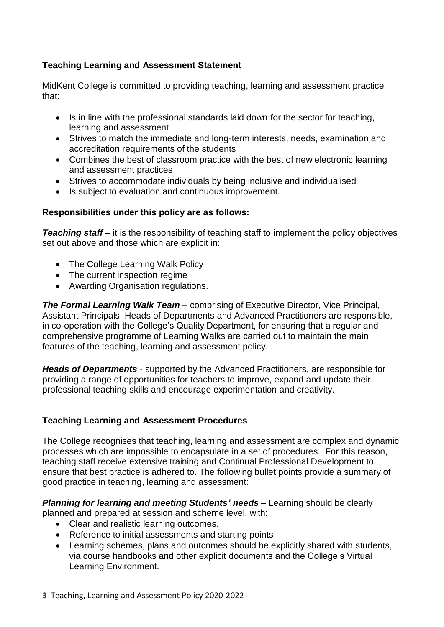## **Teaching Learning and Assessment Statement**

MidKent College is committed to providing teaching, learning and assessment practice that:

- Is in line with the professional standards laid down for the sector for teaching, learning and assessment
- Strives to match the immediate and long-term interests, needs, examination and accreditation requirements of the students
- Combines the best of classroom practice with the best of new electronic learning and assessment practices
- Strives to accommodate individuals by being inclusive and individualised
- Is subject to evaluation and continuous improvement.

## **Responsibilities under this policy are as follows:**

**Teaching staff** – it is the responsibility of teaching staff to implement the policy objectives set out above and those which are explicit in:

- The College Learning Walk Policy
- The current inspection regime
- Awarding Organisation regulations.

*The Formal Learning Walk Team* **–** comprising of Executive Director, Vice Principal, Assistant Principals, Heads of Departments and Advanced Practitioners are responsible, in co-operation with the College's Quality Department, for ensuring that a regular and comprehensive programme of Learning Walks are carried out to maintain the main features of the teaching, learning and assessment policy.

*Heads of Departments* - supported by the Advanced Practitioners, are responsible for providing a range of opportunities for teachers to improve, expand and update their professional teaching skills and encourage experimentation and creativity.

## **Teaching Learning and Assessment Procedures**

The College recognises that teaching, learning and assessment are complex and dynamic processes which are impossible to encapsulate in a set of procedures. For this reason, teaching staff receive extensive training and Continual Professional Development to ensure that best practice is adhered to. The following bullet points provide a summary of good practice in teaching, learning and assessment:

*Planning for learning and meeting Students' needs* – Learning should be clearly planned and prepared at session and scheme level, with:

- Clear and realistic learning outcomes.
- Reference to initial assessments and starting points
- Learning schemes, plans and outcomes should be explicitly shared with students, via course handbooks and other explicit documents and the College's Virtual Learning Environment.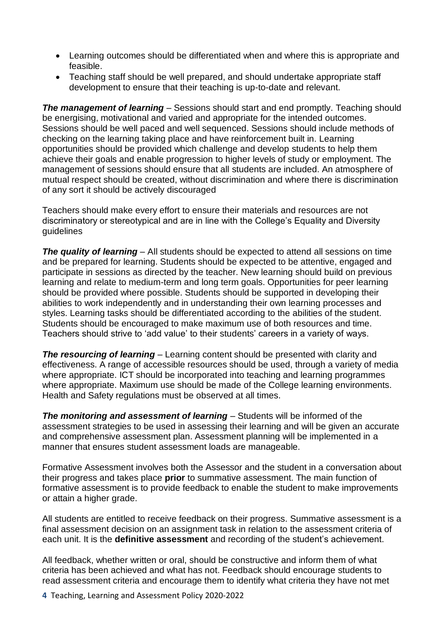- Learning outcomes should be differentiated when and where this is appropriate and feasible.
- Teaching staff should be well prepared, and should undertake appropriate staff development to ensure that their teaching is up-to-date and relevant.

**The management of learning** – Sessions should start and end promptly. Teaching should be energising, motivational and varied and appropriate for the intended outcomes. Sessions should be well paced and well sequenced. Sessions should include methods of checking on the learning taking place and have reinforcement built in. Learning opportunities should be provided which challenge and develop students to help them achieve their goals and enable progression to higher levels of study or employment. The management of sessions should ensure that all students are included. An atmosphere of mutual respect should be created, without discrimination and where there is discrimination of any sort it should be actively discouraged

Teachers should make every effort to ensure their materials and resources are not discriminatory or stereotypical and are in line with the College's Equality and Diversity guidelines

**The quality of learning** – All students should be expected to attend all sessions on time and be prepared for learning. Students should be expected to be attentive, engaged and participate in sessions as directed by the teacher. New learning should build on previous learning and relate to medium-term and long term goals. Opportunities for peer learning should be provided where possible. Students should be supported in developing their abilities to work independently and in understanding their own learning processes and styles. Learning tasks should be differentiated according to the abilities of the student. Students should be encouraged to make maximum use of both resources and time. Teachers should strive to 'add value' to their students' careers in a variety of ways.

*The resourcing of learning* – Learning content should be presented with clarity and effectiveness. A range of accessible resources should be used, through a variety of media where appropriate. ICT should be incorporated into teaching and learning programmes where appropriate. Maximum use should be made of the College learning environments. Health and Safety regulations must be observed at all times.

*The monitoring and assessment of learning* – Students will be informed of the assessment strategies to be used in assessing their learning and will be given an accurate and comprehensive assessment plan. Assessment planning will be implemented in a manner that ensures student assessment loads are manageable.

Formative Assessment involves both the Assessor and the student in a conversation about their progress and takes place **prior** to summative assessment. The main function of formative assessment is to provide feedback to enable the student to make improvements or attain a higher grade.

All students are entitled to receive feedback on their progress. Summative assessment is a final assessment decision on an assignment task in relation to the assessment criteria of each unit. It is the **definitive assessment** and recording of the student's achievement.

All feedback, whether written or oral, should be constructive and inform them of what criteria has been achieved and what has not. Feedback should encourage students to read assessment criteria and encourage them to identify what criteria they have not met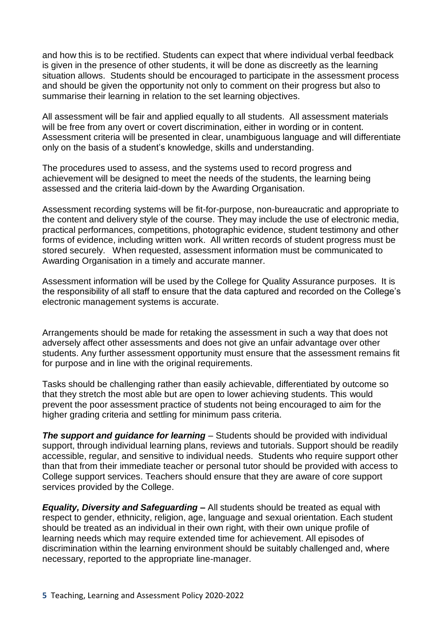and how this is to be rectified. Students can expect that where individual verbal feedback is given in the presence of other students, it will be done as discreetly as the learning situation allows. Students should be encouraged to participate in the assessment process and should be given the opportunity not only to comment on their progress but also to summarise their learning in relation to the set learning objectives.

All assessment will be fair and applied equally to all students. All assessment materials will be free from any overt or covert discrimination, either in wording or in content. Assessment criteria will be presented in clear, unambiguous language and will differentiate only on the basis of a student's knowledge, skills and understanding.

The procedures used to assess, and the systems used to record progress and achievement will be designed to meet the needs of the students, the learning being assessed and the criteria laid-down by the Awarding Organisation.

Assessment recording systems will be fit-for-purpose, non-bureaucratic and appropriate to the content and delivery style of the course. They may include the use of electronic media, practical performances, competitions, photographic evidence, student testimony and other forms of evidence, including written work. All written records of student progress must be stored securely. When requested, assessment information must be communicated to Awarding Organisation in a timely and accurate manner.

Assessment information will be used by the College for Quality Assurance purposes. It is the responsibility of all staff to ensure that the data captured and recorded on the College's electronic management systems is accurate.

Arrangements should be made for retaking the assessment in such a way that does not adversely affect other assessments and does not give an unfair advantage over other students. Any further assessment opportunity must ensure that the assessment remains fit for purpose and in line with the original requirements.

Tasks should be challenging rather than easily achievable, differentiated by outcome so that they stretch the most able but are open to lower achieving students. This would prevent the poor assessment practice of students not being encouraged to aim for the higher grading criteria and settling for minimum pass criteria.

**The support and guidance for learning** – Students should be provided with individual support, through individual learning plans, reviews and tutorials. Support should be readily accessible, regular, and sensitive to individual needs. Students who require support other than that from their immediate teacher or personal tutor should be provided with access to College support services. Teachers should ensure that they are aware of core support services provided by the College.

*Equality, Diversity and Safeguarding –* All students should be treated as equal with respect to gender, ethnicity, religion, age, language and sexual orientation. Each student should be treated as an individual in their own right, with their own unique profile of learning needs which may require extended time for achievement. All episodes of discrimination within the learning environment should be suitably challenged and, where necessary, reported to the appropriate line-manager.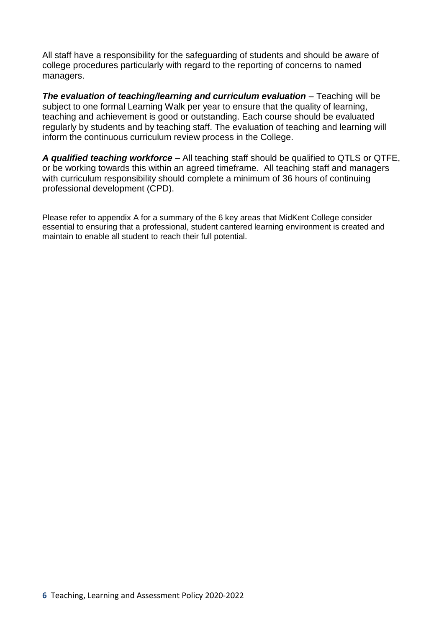All staff have a responsibility for the safeguarding of students and should be aware of college procedures particularly with regard to the reporting of concerns to named managers.

*The evaluation of teaching/learning and curriculum evaluation* – Teaching will be subject to one formal Learning Walk per year to ensure that the quality of learning, teaching and achievement is good or outstanding. Each course should be evaluated regularly by students and by teaching staff. The evaluation of teaching and learning will inform the continuous curriculum review process in the College.

*A qualified teaching workforce –* All teaching staff should be qualified to QTLS or QTFE, or be working towards this within an agreed timeframe. All teaching staff and managers with curriculum responsibility should complete a minimum of 36 hours of continuing professional development (CPD).

Please refer to appendix A for a summary of the 6 key areas that MidKent College consider essential to ensuring that a professional, student cantered learning environment is created and maintain to enable all student to reach their full potential.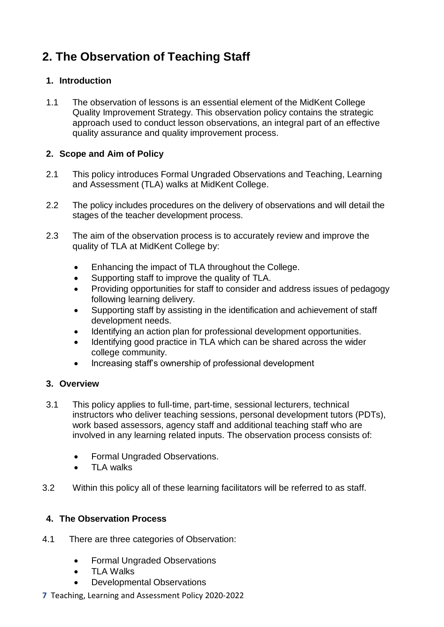# **2. The Observation of Teaching Staff**

## **1. Introduction**

1.1 The observation of lessons is an essential element of the MidKent College Quality Improvement Strategy. This observation policy contains the strategic approach used to conduct lesson observations, an integral part of an effective quality assurance and quality improvement process.

## **2. Scope and Aim of Policy**

- 2.1 This policy introduces Formal Ungraded Observations and Teaching, Learning and Assessment (TLA) walks at MidKent College.
- 2.2 The policy includes procedures on the delivery of observations and will detail the stages of the teacher development process.
- 2.3 The aim of the observation process is to accurately review and improve the quality of TLA at MidKent College by:
	- Enhancing the impact of TLA throughout the College.
	- Supporting staff to improve the quality of TLA.
	- Providing opportunities for staff to consider and address issues of pedagogy following learning delivery.
	- Supporting staff by assisting in the identification and achievement of staff development needs.
	- Identifying an action plan for professional development opportunities.
	- Identifying good practice in TLA which can be shared across the wider college community.
	- Increasing staff's ownership of professional development

## **3. Overview**

- 3.1 This policy applies to full-time, part-time, sessional lecturers, technical instructors who deliver teaching sessions, personal development tutors (PDTs), work based assessors, agency staff and additional teaching staff who are involved in any learning related inputs. The observation process consists of:
	- Formal Ungraded Observations.
	- **TI A walks**
- 3.2 Within this policy all of these learning facilitators will be referred to as staff.

## **4. The Observation Process**

- 4.1 There are three categories of Observation:
	- Formal Ungraded Observations
	- TLA Walks
	- Developmental Observations
- **7** Teaching, Learning and Assessment Policy 2020-2022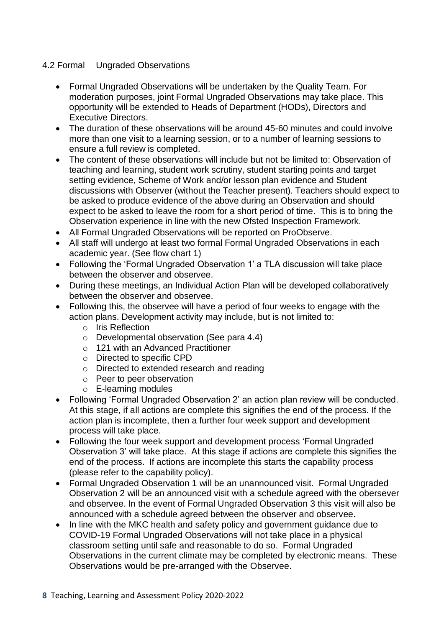### 4.2 Formal Ungraded Observations

- Formal Ungraded Observations will be undertaken by the Quality Team. For moderation purposes, joint Formal Ungraded Observations may take place. This opportunity will be extended to Heads of Department (HODs), Directors and Executive Directors.
- The duration of these observations will be around 45-60 minutes and could involve more than one visit to a learning session, or to a number of learning sessions to ensure a full review is completed.
- The content of these observations will include but not be limited to: Observation of teaching and learning, student work scrutiny, student starting points and target setting evidence, Scheme of Work and/or lesson plan evidence and Student discussions with Observer (without the Teacher present). Teachers should expect to be asked to produce evidence of the above during an Observation and should expect to be asked to leave the room for a short period of time. This is to bring the Observation experience in line with the new Ofsted Inspection Framework.
- All Formal Ungraded Observations will be reported on ProObserve.
- All staff will undergo at least two formal Formal Ungraded Observations in each academic year. (See flow chart 1)
- Following the 'Formal Ungraded Observation 1' a TLA discussion will take place between the observer and observee.
- During these meetings, an Individual Action Plan will be developed collaboratively between the observer and observee.
- Following this, the observee will have a period of four weeks to engage with the action plans. Development activity may include, but is not limited to:
	- o Iris Reflection
	- o Developmental observation (See para 4.4)
	- o 121 with an Advanced Practitioner
	- o Directed to specific CPD
	- o Directed to extended research and reading
	- o Peer to peer observation
	- o E-learning modules
- Following 'Formal Ungraded Observation 2' an action plan review will be conducted. At this stage, if all actions are complete this signifies the end of the process. If the action plan is incomplete, then a further four week support and development process will take place.
- Following the four week support and development process 'Formal Ungraded Observation 3' will take place. At this stage if actions are complete this signifies the end of the process. If actions are incomplete this starts the capability process (please refer to the capability policy).
- Formal Ungraded Observation 1 will be an unannounced visit. Formal Ungraded Observation 2 will be an announced visit with a schedule agreed with the obersever and observee. In the event of Formal Ungraded Observation 3 this visit will also be announced with a schedule agreed between the observer and observee.
- In line with the MKC health and safety policy and government guidance due to COVID-19 Formal Ungraded Observations will not take place in a physical classroom setting until safe and reasonable to do so. Formal Ungraded Observations in the current climate may be completed by electronic means. These Observations would be pre-arranged with the Observee.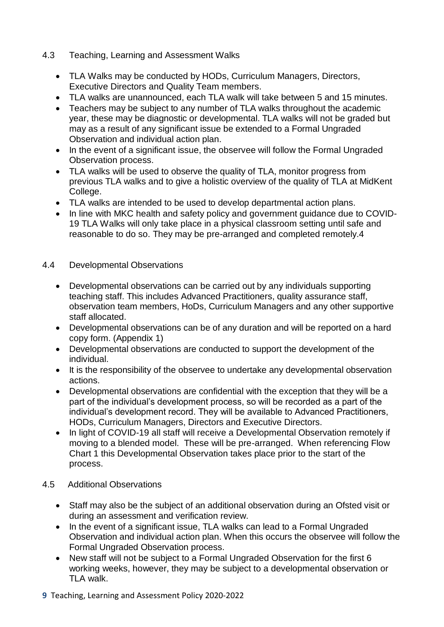- 4.3 Teaching, Learning and Assessment Walks
	- TLA Walks may be conducted by HODs, Curriculum Managers, Directors, Executive Directors and Quality Team members.
	- TLA walks are unannounced, each TLA walk will take between 5 and 15 minutes.
	- Teachers may be subject to any number of TLA walks throughout the academic year, these may be diagnostic or developmental. TLA walks will not be graded but may as a result of any significant issue be extended to a Formal Ungraded Observation and individual action plan.
	- In the event of a significant issue, the observee will follow the Formal Ungraded Observation process.
	- TLA walks will be used to observe the quality of TLA, monitor progress from previous TLA walks and to give a holistic overview of the quality of TLA at MidKent College.
	- TLA walks are intended to be used to develop departmental action plans.
	- In line with MKC health and safety policy and government guidance due to COVID-19 TLA Walks will only take place in a physical classroom setting until safe and reasonable to do so. They may be pre-arranged and completed remotely.4

## 4.4 Developmental Observations

- Developmental observations can be carried out by any individuals supporting teaching staff. This includes Advanced Practitioners, quality assurance staff, observation team members, HoDs, Curriculum Managers and any other supportive staff allocated.
- Developmental observations can be of any duration and will be reported on a hard copy form. (Appendix 1)
- Developmental observations are conducted to support the development of the individual.
- It is the responsibility of the observee to undertake any developmental observation actions.
- Developmental observations are confidential with the exception that they will be a part of the individual's development process, so will be recorded as a part of the individual's development record. They will be available to Advanced Practitioners, HODs, Curriculum Managers, Directors and Executive Directors.
- In light of COVID-19 all staff will receive a Developmental Observation remotely if moving to a blended model. These will be pre-arranged. When referencing Flow Chart 1 this Developmental Observation takes place prior to the start of the process.
- 4.5 Additional Observations
	- Staff may also be the subject of an additional observation during an Ofsted visit or during an assessment and verification review.
	- In the event of a significant issue, TLA walks can lead to a Formal Ungraded Observation and individual action plan. When this occurs the observee will follow the Formal Ungraded Observation process.
	- New staff will not be subject to a Formal Ungraded Observation for the first 6 working weeks, however, they may be subject to a developmental observation or TLA walk.
- **9** Teaching, Learning and Assessment Policy 2020-2022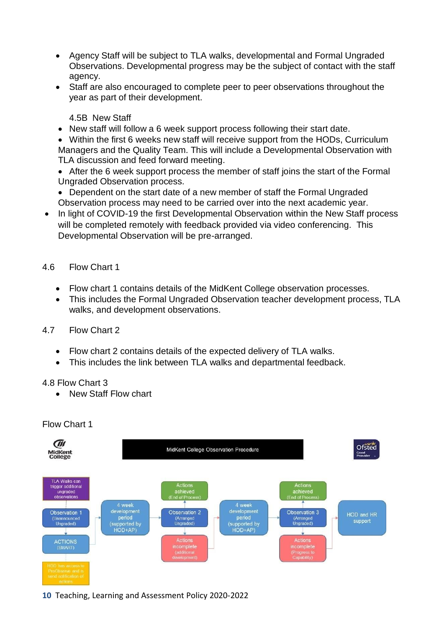- Agency Staff will be subject to TLA walks, developmental and Formal Ungraded Observations. Developmental progress may be the subject of contact with the staff agency.
- Staff are also encouraged to complete peer to peer observations throughout the year as part of their development.

4.5B New Staff

- New staff will follow a 6 week support process following their start date.
- Within the first 6 weeks new staff will receive support from the HODs, Curriculum Managers and the Quality Team. This will include a Developmental Observation with TLA discussion and feed forward meeting.
- After the 6 week support process the member of staff joins the start of the Formal Ungraded Observation process.
- Dependent on the start date of a new member of staff the Formal Ungraded Observation process may need to be carried over into the next academic year.
- In light of COVID-19 the first Developmental Observation within the New Staff process will be completed remotely with feedback provided via video conferencing. This Developmental Observation will be pre-arranged.

## 4.6 Flow Chart 1

- Flow chart 1 contains details of the MidKent College observation processes.
- This includes the Formal Ungraded Observation teacher development process, TLA walks, and development observations.

## 4.7 Flow Chart 2

- Flow chart 2 contains details of the expected delivery of TLA walks.
- This includes the link between TLA walks and departmental feedback.

#### 4.8 Flow Chart 3

• New Staff Flow chart



## Flow Chart 1

**10** Teaching, Learning and Assessment Policy 2020-2022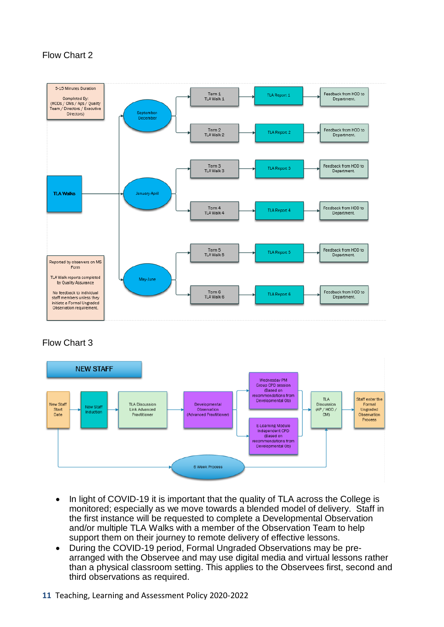## Flow Chart 2



## Flow Chart 3



- In light of COVID-19 it is important that the quality of TLA across the College is monitored; especially as we move towards a blended model of delivery. Staff in the first instance will be requested to complete a Developmental Observation and/or multiple TLA Walks with a member of the Observation Team to help support them on their journey to remote delivery of effective lessons.
- During the COVID-19 period, Formal Ungraded Observations may be prearranged with the Observee and may use digital media and virtual lessons rather than a physical classroom setting. This applies to the Observees first, second and third observations as required.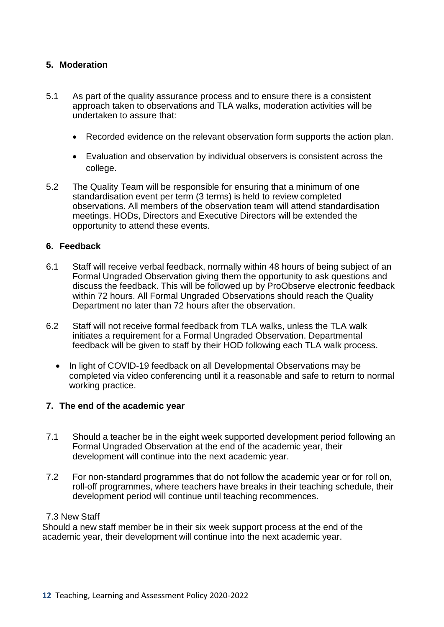## **5. Moderation**

- 5.1 As part of the quality assurance process and to ensure there is a consistent approach taken to observations and TLA walks, moderation activities will be undertaken to assure that:
	- Recorded evidence on the relevant observation form supports the action plan.
	- Evaluation and observation by individual observers is consistent across the college.
- 5.2 The Quality Team will be responsible for ensuring that a minimum of one standardisation event per term (3 terms) is held to review completed observations. All members of the observation team will attend standardisation meetings. HODs, Directors and Executive Directors will be extended the opportunity to attend these events.

#### **6. Feedback**

- 6.1 Staff will receive verbal feedback, normally within 48 hours of being subject of an Formal Ungraded Observation giving them the opportunity to ask questions and discuss the feedback. This will be followed up by ProObserve electronic feedback within 72 hours. All Formal Ungraded Observations should reach the Quality Department no later than 72 hours after the observation.
- 6.2 Staff will not receive formal feedback from TLA walks, unless the TLA walk initiates a requirement for a Formal Ungraded Observation. Departmental feedback will be given to staff by their HOD following each TLA walk process.
	- In light of COVID-19 feedback on all Developmental Observations may be completed via video conferencing until it a reasonable and safe to return to normal working practice.

#### **7. The end of the academic year**

- 7.1 Should a teacher be in the eight week supported development period following an Formal Ungraded Observation at the end of the academic year, their development will continue into the next academic year.
- 7.2 For non-standard programmes that do not follow the academic year or for roll on, roll-off programmes, where teachers have breaks in their teaching schedule, their development period will continue until teaching recommences.

#### 7.3 New Staff

Should a new staff member be in their six week support process at the end of the academic year, their development will continue into the next academic year.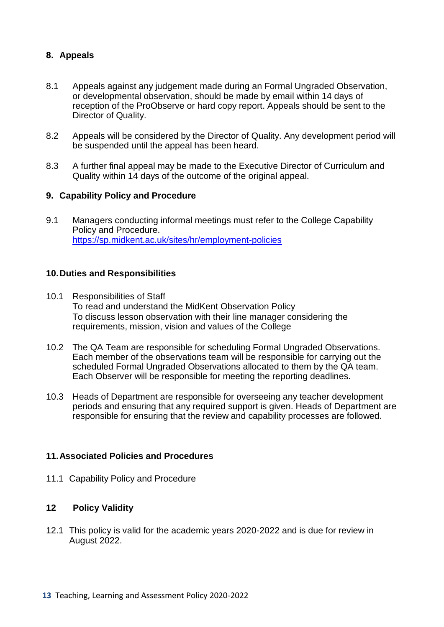## **8. Appeals**

- 8.1 Appeals against any judgement made during an Formal Ungraded Observation, or developmental observation, should be made by email within 14 days of reception of the ProObserve or hard copy report. Appeals should be sent to the Director of Quality.
- 8.2 Appeals will be considered by the Director of Quality. Any development period will be suspended until the appeal has been heard.
- 8.3 A further final appeal may be made to the Executive Director of Curriculum and Quality within 14 days of the outcome of the original appeal.

#### **9. Capability Policy and Procedure**

9.1 Managers conducting informal meetings must refer to the College Capability Policy and Procedure. <https://sp.midkent.ac.uk/sites/hr/employment-policies>

#### **10.Duties and Responsibilities**

- 10.1 Responsibilities of Staff To read and understand the MidKent Observation Policy To discuss lesson observation with their line manager considering the requirements, mission, vision and values of the College
- 10.2 The QA Team are responsible for scheduling Formal Ungraded Observations. Each member of the observations team will be responsible for carrying out the scheduled Formal Ungraded Observations allocated to them by the QA team. Each Observer will be responsible for meeting the reporting deadlines.
- 10.3 Heads of Department are responsible for overseeing any teacher development periods and ensuring that any required support is given. Heads of Department are responsible for ensuring that the review and capability processes are followed.

#### **11.Associated Policies and Procedures**

11.1 Capability Policy and Procedure

#### **12 Policy Validity**

12.1 This policy is valid for the academic years 2020-2022 and is due for review in August 2022.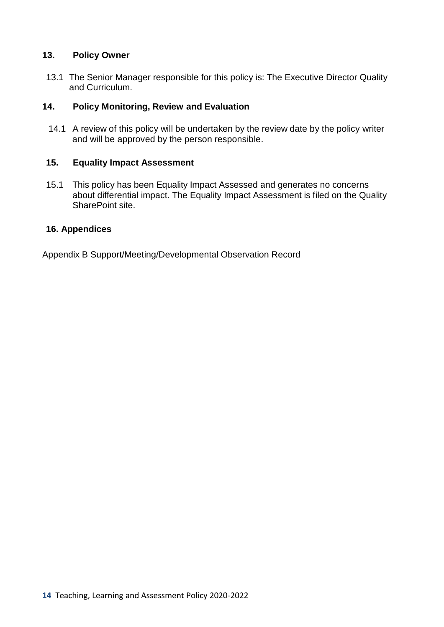### **13. Policy Owner**

13.1 The Senior Manager responsible for this policy is: The Executive Director Quality and Curriculum.

## **14. Policy Monitoring, Review and Evaluation**

14.1 A review of this policy will be undertaken by the review date by the policy writer and will be approved by the person responsible.

## **15. Equality Impact Assessment**

15.1 This policy has been Equality Impact Assessed and generates no concerns about differential impact. The Equality Impact Assessment is filed on the Quality SharePoint site.

## **16. Appendices**

Appendix B Support/Meeting/Developmental Observation Record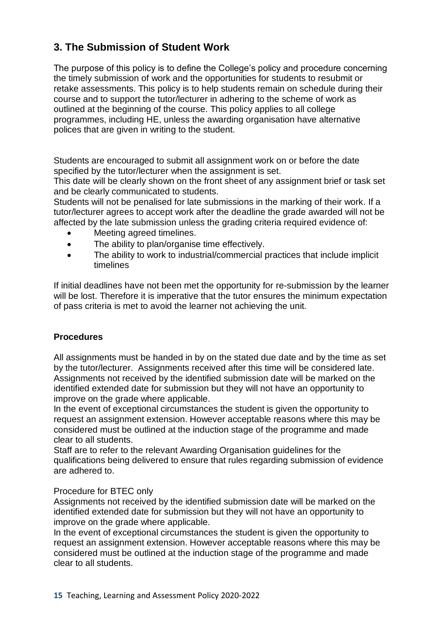## **3. The Submission of Student Work**

The purpose of this policy is to define the College's policy and procedure concerning the timely submission of work and the opportunities for students to resubmit or retake assessments. This policy is to help students remain on schedule during their course and to support the tutor/lecturer in adhering to the scheme of work as outlined at the beginning of the course. This policy applies to all college programmes, including HE, unless the awarding organisation have alternative polices that are given in writing to the student.

Students are encouraged to submit all assignment work on or before the date specified by the tutor/lecturer when the assignment is set.

This date will be clearly shown on the front sheet of any assignment brief or task set and be clearly communicated to students.

Students will not be penalised for late submissions in the marking of their work. If a tutor/lecturer agrees to accept work after the deadline the grade awarded will not be affected by the late submission unless the grading criteria required evidence of:

- Meeting agreed timelines.
- The ability to plan/organise time effectively.
- The ability to work to industrial/commercial practices that include implicit timelines

If initial deadlines have not been met the opportunity for re-submission by the learner will be lost. Therefore it is imperative that the tutor ensures the minimum expectation of pass criteria is met to avoid the learner not achieving the unit.

## **Procedures**

All assignments must be handed in by on the stated due date and by the time as set by the tutor/lecturer. Assignments received after this time will be considered late. Assignments not received by the identified submission date will be marked on the identified extended date for submission but they will not have an opportunity to improve on the grade where applicable.

In the event of exceptional circumstances the student is given the opportunity to request an assignment extension. However acceptable reasons where this may be considered must be outlined at the induction stage of the programme and made clear to all students.

Staff are to refer to the relevant Awarding Organisation guidelines for the qualifications being delivered to ensure that rules regarding submission of evidence are adhered to.

#### Procedure for BTEC only

Assignments not received by the identified submission date will be marked on the identified extended date for submission but they will not have an opportunity to improve on the grade where applicable.

In the event of exceptional circumstances the student is given the opportunity to request an assignment extension. However acceptable reasons where this may be considered must be outlined at the induction stage of the programme and made clear to all students.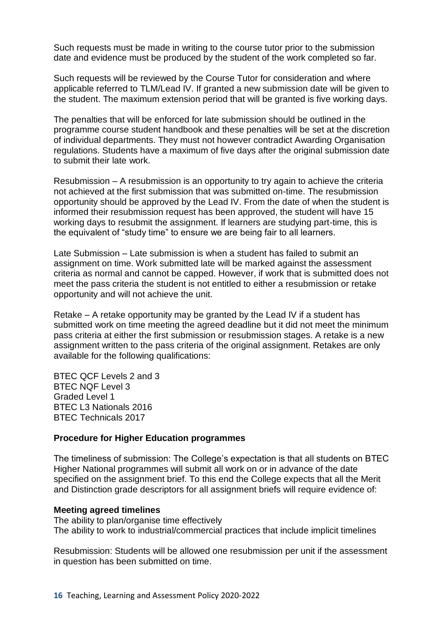Such requests must be made in writing to the course tutor prior to the submission date and evidence must be produced by the student of the work completed so far.

Such requests will be reviewed by the Course Tutor for consideration and where applicable referred to TLM/Lead IV. If granted a new submission date will be given to the student. The maximum extension period that will be granted is five working days.

The penalties that will be enforced for late submission should be outlined in the programme course student handbook and these penalties will be set at the discretion of individual departments. They must not however contradict Awarding Organisation regulations. Students have a maximum of five days after the original submission date to submit their late work.

Resubmission – A resubmission is an opportunity to try again to achieve the criteria not achieved at the first submission that was submitted on-time. The resubmission opportunity should be approved by the Lead IV. From the date of when the student is informed their resubmission request has been approved, the student will have 15 working days to resubmit the assignment. If learners are studying part-time, this is the equivalent of "study time" to ensure we are being fair to all learners.

Late Submission – Late submission is when a student has failed to submit an assignment on time. Work submitted late will be marked against the assessment criteria as normal and cannot be capped. However, if work that is submitted does not meet the pass criteria the student is not entitled to either a resubmission or retake opportunity and will not achieve the unit.

Retake – A retake opportunity may be granted by the Lead IV if a student has submitted work on time meeting the agreed deadline but it did not meet the minimum pass criteria at either the first submission or resubmission stages. A retake is a new assignment written to the pass criteria of the original assignment. Retakes are only available for the following qualifications:

BTEC QCF Levels 2 and 3 BTEC NQF Level 3 Graded Level 1 BTEC L3 Nationals 2016 BTEC Technicals 2017

#### **Procedure for Higher Education programmes**

The timeliness of submission: The College's expectation is that all students on BTEC Higher National programmes will submit all work on or in advance of the date specified on the assignment brief. To this end the College expects that all the Merit and Distinction grade descriptors for all assignment briefs will require evidence of:

#### **Meeting agreed timelines**

The ability to plan/organise time effectively The ability to work to industrial/commercial practices that include implicit timelines

Resubmission: Students will be allowed one resubmission per unit if the assessment in question has been submitted on time.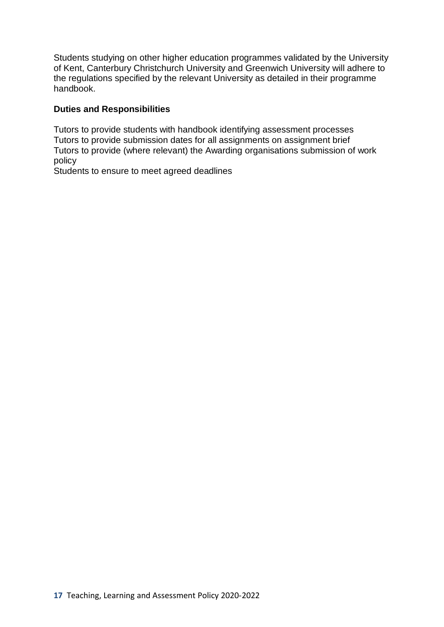Students studying on other higher education programmes validated by the University of Kent, Canterbury Christchurch University and Greenwich University will adhere to the regulations specified by the relevant University as detailed in their programme handbook.

## **Duties and Responsibilities**

Tutors to provide students with handbook identifying assessment processes Tutors to provide submission dates for all assignments on assignment brief Tutors to provide (where relevant) the Awarding organisations submission of work policy

Students to ensure to meet agreed deadlines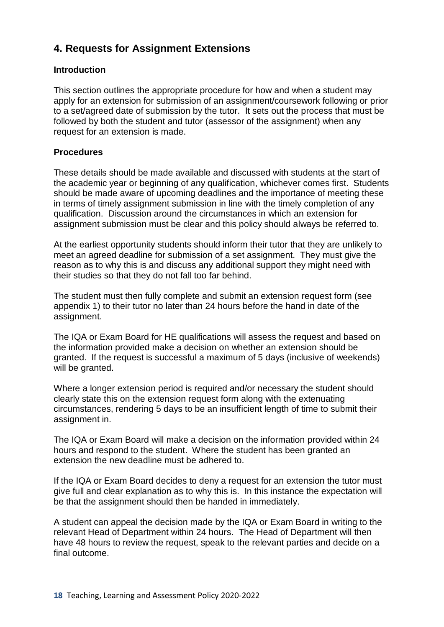## **4. Requests for Assignment Extensions**

## **Introduction**

This section outlines the appropriate procedure for how and when a student may apply for an extension for submission of an assignment/coursework following or prior to a set/agreed date of submission by the tutor. It sets out the process that must be followed by both the student and tutor (assessor of the assignment) when any request for an extension is made.

## **Procedures**

These details should be made available and discussed with students at the start of the academic year or beginning of any qualification, whichever comes first. Students should be made aware of upcoming deadlines and the importance of meeting these in terms of timely assignment submission in line with the timely completion of any qualification. Discussion around the circumstances in which an extension for assignment submission must be clear and this policy should always be referred to.

At the earliest opportunity students should inform their tutor that they are unlikely to meet an agreed deadline for submission of a set assignment. They must give the reason as to why this is and discuss any additional support they might need with their studies so that they do not fall too far behind.

The student must then fully complete and submit an extension request form (see appendix 1) to their tutor no later than 24 hours before the hand in date of the assignment.

The IQA or Exam Board for HE qualifications will assess the request and based on the information provided make a decision on whether an extension should be granted. If the request is successful a maximum of 5 days (inclusive of weekends) will be granted.

Where a longer extension period is required and/or necessary the student should clearly state this on the extension request form along with the extenuating circumstances, rendering 5 days to be an insufficient length of time to submit their assignment in.

The IQA or Exam Board will make a decision on the information provided within 24 hours and respond to the student. Where the student has been granted an extension the new deadline must be adhered to.

If the IQA or Exam Board decides to deny a request for an extension the tutor must give full and clear explanation as to why this is. In this instance the expectation will be that the assignment should then be handed in immediately.

A student can appeal the decision made by the IQA or Exam Board in writing to the relevant Head of Department within 24 hours. The Head of Department will then have 48 hours to review the request, speak to the relevant parties and decide on a final outcome.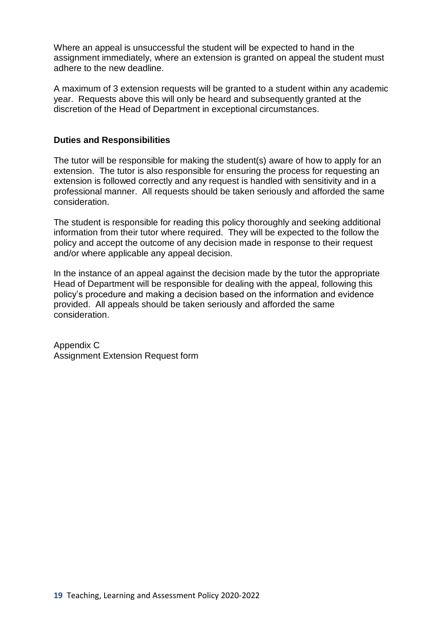Where an appeal is unsuccessful the student will be expected to hand in the assignment immediately, where an extension is granted on appeal the student must adhere to the new deadline.

A maximum of 3 extension requests will be granted to a student within any academic year. Requests above this will only be heard and subsequently granted at the discretion of the Head of Department in exceptional circumstances.

#### **Duties and Responsibilities**

The tutor will be responsible for making the student(s) aware of how to apply for an extension. The tutor is also responsible for ensuring the process for requesting an extension is followed correctly and any request is handled with sensitivity and in a professional manner. All requests should be taken seriously and afforded the same consideration.

The student is responsible for reading this policy thoroughly and seeking additional information from their tutor where required. They will be expected to the follow the policy and accept the outcome of any decision made in response to their request and/or where applicable any appeal decision.

In the instance of an appeal against the decision made by the tutor the appropriate Head of Department will be responsible for dealing with the appeal, following this policy's procedure and making a decision based on the information and evidence provided. All appeals should be taken seriously and afforded the same consideration.

Appendix C Assignment Extension Request form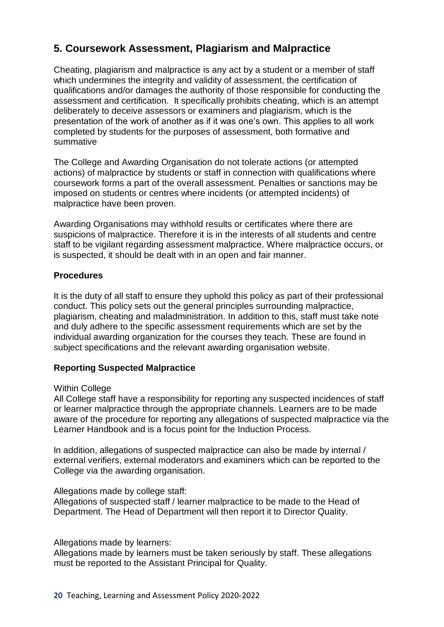## **5. Coursework Assessment, Plagiarism and Malpractice**

Cheating, plagiarism and malpractice is any act by a student or a member of staff which undermines the integrity and validity of assessment, the certification of qualifications and/or damages the authority of those responsible for conducting the assessment and certification. It specifically prohibits cheating, which is an attempt deliberately to deceive assessors or examiners and plagiarism, which is the presentation of the work of another as if it was one's own. This applies to all work completed by students for the purposes of assessment, both formative and summative

The College and Awarding Organisation do not tolerate actions (or attempted actions) of malpractice by students or staff in connection with qualifications where coursework forms a part of the overall assessment. Penalties or sanctions may be imposed on students or centres where incidents (or attempted incidents) of malpractice have been proven.

Awarding Organisations may withhold results or certificates where there are suspicions of malpractice. Therefore it is in the interests of all students and centre staff to be vigilant regarding assessment malpractice. Where malpractice occurs, or is suspected, it should be dealt with in an open and fair manner.

#### **Procedures**

It is the duty of all staff to ensure they uphold this policy as part of their professional conduct. This policy sets out the general principles surrounding malpractice, plagiarism, cheating and maladministration. In addition to this, staff must take note and duly adhere to the specific assessment requirements which are set by the individual awarding organization for the courses they teach. These are found in subject specifications and the relevant awarding organisation website.

#### **Reporting Suspected Malpractice**

#### Within College

All College staff have a responsibility for reporting any suspected incidences of staff or learner malpractice through the appropriate channels. Learners are to be made aware of the procedure for reporting any allegations of suspected malpractice via the Learner Handbook and is a focus point for the Induction Process.

In addition, allegations of suspected malpractice can also be made by internal / external verifiers, external moderators and examiners which can be reported to the College via the awarding organisation.

#### Allegations made by college staff:

Allegations of suspected staff / learner malpractice to be made to the Head of Department. The Head of Department will then report it to Director Quality.

#### Allegations made by learners:

Allegations made by learners must be taken seriously by staff. These allegations must be reported to the Assistant Principal for Quality.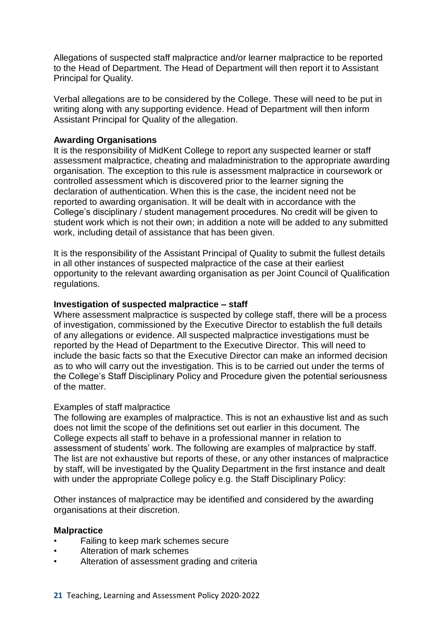Allegations of suspected staff malpractice and/or learner malpractice to be reported to the Head of Department. The Head of Department will then report it to Assistant Principal for Quality.

Verbal allegations are to be considered by the College. These will need to be put in writing along with any supporting evidence. Head of Department will then inform Assistant Principal for Quality of the allegation.

#### **Awarding Organisations**

It is the responsibility of MidKent College to report any suspected learner or staff assessment malpractice, cheating and maladministration to the appropriate awarding organisation. The exception to this rule is assessment malpractice in coursework or controlled assessment which is discovered prior to the learner signing the declaration of authentication. When this is the case, the incident need not be reported to awarding organisation. It will be dealt with in accordance with the College's disciplinary / student management procedures. No credit will be given to student work which is not their own; in addition a note will be added to any submitted work, including detail of assistance that has been given.

It is the responsibility of the Assistant Principal of Quality to submit the fullest details in all other instances of suspected malpractice of the case at their earliest opportunity to the relevant awarding organisation as per Joint Council of Qualification regulations.

#### **Investigation of suspected malpractice – staff**

Where assessment malpractice is suspected by college staff, there will be a process of investigation, commissioned by the Executive Director to establish the full details of any allegations or evidence. All suspected malpractice investigations must be reported by the Head of Department to the Executive Director. This will need to include the basic facts so that the Executive Director can make an informed decision as to who will carry out the investigation. This is to be carried out under the terms of the College's Staff Disciplinary Policy and Procedure given the potential seriousness of the matter.

#### Examples of staff malpractice

The following are examples of malpractice. This is not an exhaustive list and as such does not limit the scope of the definitions set out earlier in this document. The College expects all staff to behave in a professional manner in relation to assessment of students' work. The following are examples of malpractice by staff. The list are not exhaustive but reports of these, or any other instances of malpractice by staff, will be investigated by the Quality Department in the first instance and dealt with under the appropriate College policy e.g. the Staff Disciplinary Policy:

Other instances of malpractice may be identified and considered by the awarding organisations at their discretion.

#### **Malpractice**

- Failing to keep mark schemes secure
- Alteration of mark schemes
- Alteration of assessment grading and criteria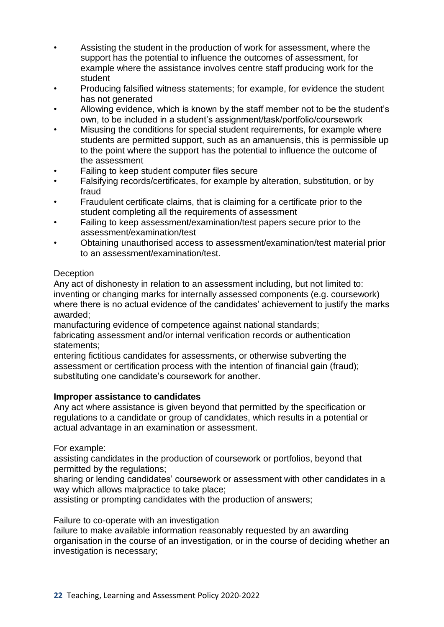- Assisting the student in the production of work for assessment, where the support has the potential to influence the outcomes of assessment, for example where the assistance involves centre staff producing work for the student
- Producing falsified witness statements; for example, for evidence the student has not generated
- Allowing evidence, which is known by the staff member not to be the student's own, to be included in a student's assignment/task/portfolio/coursework
- Misusing the conditions for special student requirements, for example where students are permitted support, such as an amanuensis, this is permissible up to the point where the support has the potential to influence the outcome of the assessment
- Failing to keep student computer files secure
- Falsifying records/certificates, for example by alteration, substitution, or by fraud
- Fraudulent certificate claims, that is claiming for a certificate prior to the student completing all the requirements of assessment
- Failing to keep assessment/examination/test papers secure prior to the assessment/examination/test
- Obtaining unauthorised access to assessment/examination/test material prior to an assessment/examination/test.

## **Deception**

Any act of dishonesty in relation to an assessment including, but not limited to: inventing or changing marks for internally assessed components (e.g. coursework) where there is no actual evidence of the candidates' achievement to justify the marks awarded;

manufacturing evidence of competence against national standards; fabricating assessment and/or internal verification records or authentication statements;

entering fictitious candidates for assessments, or otherwise subverting the assessment or certification process with the intention of financial gain (fraud); substituting one candidate's coursework for another.

#### **Improper assistance to candidates**

Any act where assistance is given beyond that permitted by the specification or regulations to a candidate or group of candidates, which results in a potential or actual advantage in an examination or assessment.

For example:

assisting candidates in the production of coursework or portfolios, beyond that permitted by the regulations;

sharing or lending candidates' coursework or assessment with other candidates in a way which allows malpractice to take place;

assisting or prompting candidates with the production of answers;

Failure to co-operate with an investigation

failure to make available information reasonably requested by an awarding organisation in the course of an investigation, or in the course of deciding whether an investigation is necessary;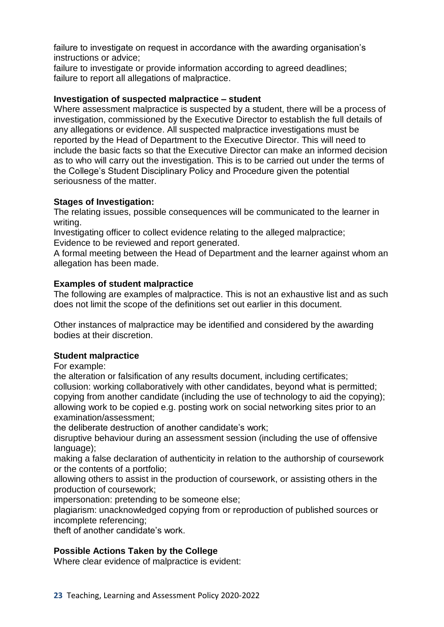failure to investigate on request in accordance with the awarding organisation's instructions or advice;

failure to investigate or provide information according to agreed deadlines; failure to report all allegations of malpractice.

### **Investigation of suspected malpractice – student**

Where assessment malpractice is suspected by a student, there will be a process of investigation, commissioned by the Executive Director to establish the full details of any allegations or evidence. All suspected malpractice investigations must be reported by the Head of Department to the Executive Director. This will need to include the basic facts so that the Executive Director can make an informed decision as to who will carry out the investigation. This is to be carried out under the terms of the College's Student Disciplinary Policy and Procedure given the potential seriousness of the matter.

## **Stages of Investigation:**

The relating issues, possible consequences will be communicated to the learner in writing.

Investigating officer to collect evidence relating to the alleged malpractice; Evidence to be reviewed and report generated.

A formal meeting between the Head of Department and the learner against whom an allegation has been made.

## **Examples of student malpractice**

The following are examples of malpractice. This is not an exhaustive list and as such does not limit the scope of the definitions set out earlier in this document.

Other instances of malpractice may be identified and considered by the awarding bodies at their discretion.

## **Student malpractice**

For example:

the alteration or falsification of any results document, including certificates; collusion: working collaboratively with other candidates, beyond what is permitted; copying from another candidate (including the use of technology to aid the copying); allowing work to be copied e.g. posting work on social networking sites prior to an examination/assessment;

the deliberate destruction of another candidate's work;

disruptive behaviour during an assessment session (including the use of offensive language);

making a false declaration of authenticity in relation to the authorship of coursework or the contents of a portfolio;

allowing others to assist in the production of coursework, or assisting others in the production of coursework;

impersonation: pretending to be someone else;

plagiarism: unacknowledged copying from or reproduction of published sources or incomplete referencing;

theft of another candidate's work.

## **Possible Actions Taken by the College**

Where clear evidence of malpractice is evident: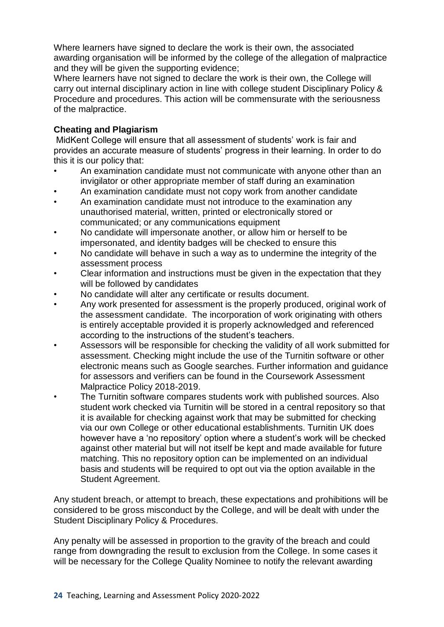Where learners have signed to declare the work is their own, the associated awarding organisation will be informed by the college of the allegation of malpractice and they will be given the supporting evidence;

Where learners have not signed to declare the work is their own, the College will carry out internal disciplinary action in line with college student Disciplinary Policy & Procedure and procedures. This action will be commensurate with the seriousness of the malpractice.

## **Cheating and Plagiarism**

MidKent College will ensure that all assessment of students' work is fair and provides an accurate measure of students' progress in their learning. In order to do this it is our policy that:

- An examination candidate must not communicate with anyone other than an invigilator or other appropriate member of staff during an examination
- An examination candidate must not copy work from another candidate
- An examination candidate must not introduce to the examination any unauthorised material, written, printed or electronically stored or communicated; or any communications equipment
- No candidate will impersonate another, or allow him or herself to be impersonated, and identity badges will be checked to ensure this
- No candidate will behave in such a way as to undermine the integrity of the assessment process
- Clear information and instructions must be given in the expectation that they will be followed by candidates
- No candidate will alter any certificate or results document.
- Any work presented for assessment is the properly produced, original work of the assessment candidate. The incorporation of work originating with others is entirely acceptable provided it is properly acknowledged and referenced according to the instructions of the student's teachers.
- Assessors will be responsible for checking the validity of all work submitted for assessment. Checking might include the use of the Turnitin software or other electronic means such as Google searches. Further information and guidance for assessors and verifiers can be found in the Coursework Assessment Malpractice Policy 2018-2019.
- The Turnitin software compares students work with published sources. Also student work checked via Turnitin will be stored in a central repository so that it is available for checking against work that may be submitted for checking via our own College or other educational establishments. Turnitin UK does however have a 'no repository' option where a student's work will be checked against other material but will not itself be kept and made available for future matching. This no repository option can be implemented on an individual basis and students will be required to opt out via the option available in the Student Agreement.

Any student breach, or attempt to breach, these expectations and prohibitions will be considered to be gross misconduct by the College, and will be dealt with under the Student Disciplinary Policy & Procedures.

Any penalty will be assessed in proportion to the gravity of the breach and could range from downgrading the result to exclusion from the College. In some cases it will be necessary for the College Quality Nominee to notify the relevant awarding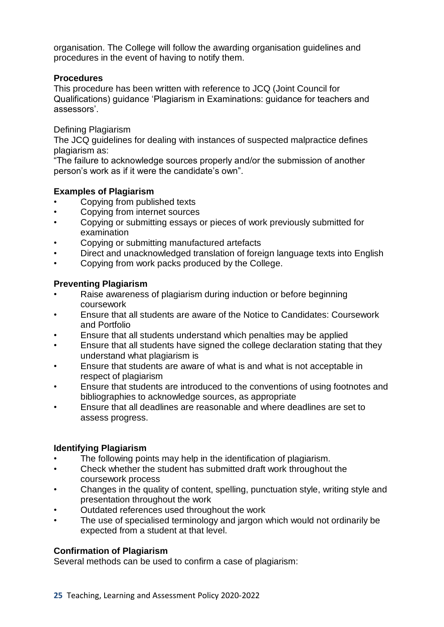organisation. The College will follow the awarding organisation guidelines and procedures in the event of having to notify them.

### **Procedures**

This procedure has been written with reference to JCQ (Joint Council for Qualifications) guidance 'Plagiarism in Examinations: guidance for teachers and assessors'.

Defining Plagiarism

The JCQ guidelines for dealing with instances of suspected malpractice defines plagiarism as:

"The failure to acknowledge sources properly and/or the submission of another person's work as if it were the candidate's own".

## **Examples of Plagiarism**

- Copying from published texts
- Copying from internet sources
- Copying or submitting essays or pieces of work previously submitted for examination
- Copying or submitting manufactured artefacts
- Direct and unacknowledged translation of foreign language texts into English
- Copying from work packs produced by the College.

## **Preventing Plagiarism**

- Raise awareness of plagiarism during induction or before beginning coursework
- Ensure that all students are aware of the Notice to Candidates: Coursework and Portfolio
- Ensure that all students understand which penalties may be applied
- Ensure that all students have signed the college declaration stating that they understand what plagiarism is
- Ensure that students are aware of what is and what is not acceptable in respect of plagiarism
- Ensure that students are introduced to the conventions of using footnotes and bibliographies to acknowledge sources, as appropriate
- Ensure that all deadlines are reasonable and where deadlines are set to assess progress.

## **Identifying Plagiarism**

- The following points may help in the identification of plagiarism.
- Check whether the student has submitted draft work throughout the coursework process
- Changes in the quality of content, spelling, punctuation style, writing style and presentation throughout the work
- Outdated references used throughout the work
- The use of specialised terminology and jargon which would not ordinarily be expected from a student at that level.

## **Confirmation of Plagiarism**

Several methods can be used to confirm a case of plagiarism: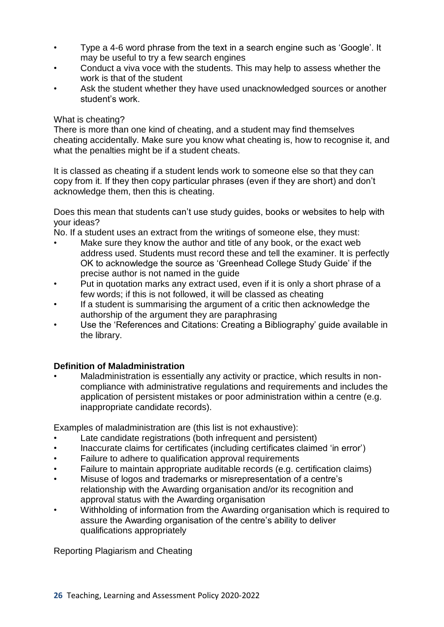- Type a 4-6 word phrase from the text in a search engine such as 'Google'. It may be useful to try a few search engines
- Conduct a viva voce with the students. This may help to assess whether the work is that of the student
- Ask the student whether they have used unacknowledged sources or another student's work.

### What is cheating?

There is more than one kind of cheating, and a student may find themselves cheating accidentally. Make sure you know what cheating is, how to recognise it, and what the penalties might be if a student cheats.

It is classed as cheating if a student lends work to someone else so that they can copy from it. If they then copy particular phrases (even if they are short) and don't acknowledge them, then this is cheating.

Does this mean that students can't use study guides, books or websites to help with your ideas?

No. If a student uses an extract from the writings of someone else, they must:

- Make sure they know the author and title of any book, or the exact web address used. Students must record these and tell the examiner. It is perfectly OK to acknowledge the source as 'Greenhead College Study Guide' if the precise author is not named in the guide
- Put in quotation marks any extract used, even if it is only a short phrase of a few words; if this is not followed, it will be classed as cheating
- If a student is summarising the argument of a critic then acknowledge the authorship of the argument they are paraphrasing
- Use the 'References and Citations: Creating a Bibliography' guide available in the library.

## **Definition of Maladministration**

Maladministration is essentially any activity or practice, which results in noncompliance with administrative regulations and requirements and includes the application of persistent mistakes or poor administration within a centre (e.g. inappropriate candidate records).

Examples of maladministration are (this list is not exhaustive):

- Late candidate registrations (both infrequent and persistent)
- Inaccurate claims for certificates (including certificates claimed 'in error')
- Failure to adhere to qualification approval requirements
- Failure to maintain appropriate auditable records (e.g. certification claims)
- Misuse of logos and trademarks or misrepresentation of a centre's relationship with the Awarding organisation and/or its recognition and approval status with the Awarding organisation
- Withholding of information from the Awarding organisation which is required to assure the Awarding organisation of the centre's ability to deliver qualifications appropriately

Reporting Plagiarism and Cheating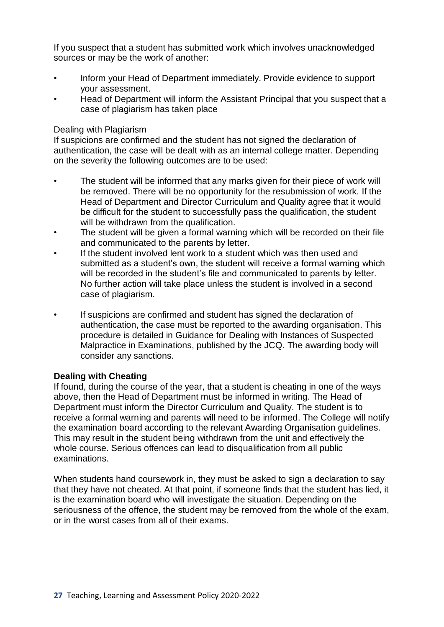If you suspect that a student has submitted work which involves unacknowledged sources or may be the work of another:

- Inform your Head of Department immediately. Provide evidence to support your assessment.
- Head of Department will inform the Assistant Principal that you suspect that a case of plagiarism has taken place

#### Dealing with Plagiarism

If suspicions are confirmed and the student has not signed the declaration of authentication, the case will be dealt with as an internal college matter. Depending on the severity the following outcomes are to be used:

- The student will be informed that any marks given for their piece of work will be removed. There will be no opportunity for the resubmission of work. If the Head of Department and Director Curriculum and Quality agree that it would be difficult for the student to successfully pass the qualification, the student will be withdrawn from the qualification.
- The student will be given a formal warning which will be recorded on their file and communicated to the parents by letter.
- If the student involved lent work to a student which was then used and submitted as a student's own, the student will receive a formal warning which will be recorded in the student's file and communicated to parents by letter. No further action will take place unless the student is involved in a second case of plagiarism.
- If suspicions are confirmed and student has signed the declaration of authentication, the case must be reported to the awarding organisation. This procedure is detailed in Guidance for Dealing with Instances of Suspected Malpractice in Examinations, published by the JCQ. The awarding body will consider any sanctions.

#### **Dealing with Cheating**

If found, during the course of the year, that a student is cheating in one of the ways above, then the Head of Department must be informed in writing. The Head of Department must inform the Director Curriculum and Quality. The student is to receive a formal warning and parents will need to be informed. The College will notify the examination board according to the relevant Awarding Organisation guidelines. This may result in the student being withdrawn from the unit and effectively the whole course. Serious offences can lead to disqualification from all public examinations.

When students hand coursework in, they must be asked to sign a declaration to say that they have not cheated. At that point, if someone finds that the student has lied, it is the examination board who will investigate the situation. Depending on the seriousness of the offence, the student may be removed from the whole of the exam, or in the worst cases from all of their exams.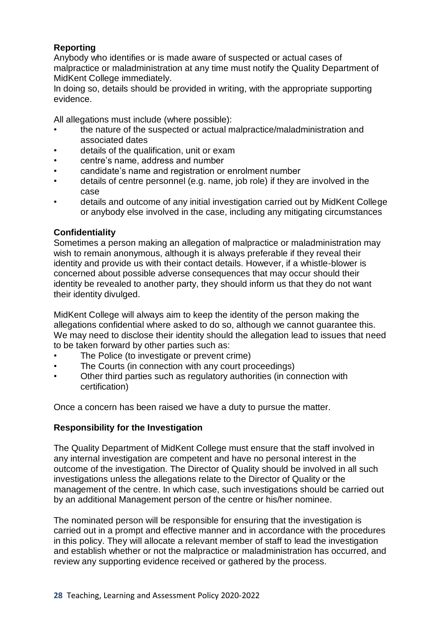## **Reporting**

Anybody who identifies or is made aware of suspected or actual cases of malpractice or maladministration at any time must notify the Quality Department of MidKent College immediately.

In doing so, details should be provided in writing, with the appropriate supporting evidence.

All allegations must include (where possible):

- the nature of the suspected or actual malpractice/maladministration and associated dates
- details of the qualification, unit or exam
- centre's name, address and number
- candidate's name and registration or enrolment number
- details of centre personnel (e.g. name, job role) if they are involved in the case
- details and outcome of any initial investigation carried out by MidKent College or anybody else involved in the case, including any mitigating circumstances

## **Confidentiality**

Sometimes a person making an allegation of malpractice or maladministration may wish to remain anonymous, although it is always preferable if they reveal their identity and provide us with their contact details. However, if a whistle-blower is concerned about possible adverse consequences that may occur should their identity be revealed to another party, they should inform us that they do not want their identity divulged.

MidKent College will always aim to keep the identity of the person making the allegations confidential where asked to do so, although we cannot guarantee this. We may need to disclose their identity should the allegation lead to issues that need to be taken forward by other parties such as:

- The Police (to investigate or prevent crime)
- The Courts (in connection with any court proceedings)
- Other third parties such as regulatory authorities (in connection with certification)

Once a concern has been raised we have a duty to pursue the matter.

## **Responsibility for the Investigation**

The Quality Department of MidKent College must ensure that the staff involved in any internal investigation are competent and have no personal interest in the outcome of the investigation. The Director of Quality should be involved in all such investigations unless the allegations relate to the Director of Quality or the management of the centre. In which case, such investigations should be carried out by an additional Management person of the centre or his/her nominee.

The nominated person will be responsible for ensuring that the investigation is carried out in a prompt and effective manner and in accordance with the procedures in this policy. They will allocate a relevant member of staff to lead the investigation and establish whether or not the malpractice or maladministration has occurred, and review any supporting evidence received or gathered by the process.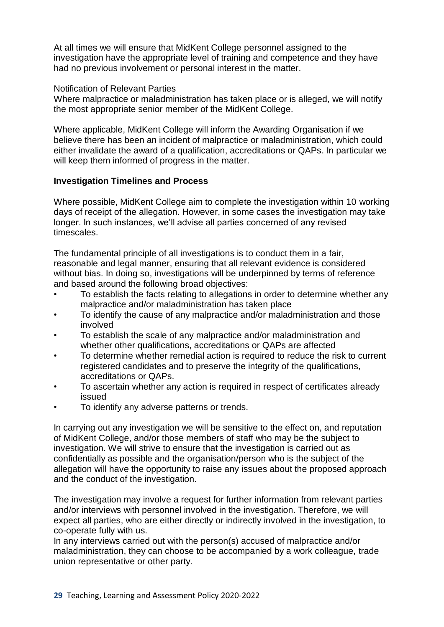At all times we will ensure that MidKent College personnel assigned to the investigation have the appropriate level of training and competence and they have had no previous involvement or personal interest in the matter.

#### Notification of Relevant Parties

Where malpractice or maladministration has taken place or is alleged, we will notify the most appropriate senior member of the MidKent College.

Where applicable, MidKent College will inform the Awarding Organisation if we believe there has been an incident of malpractice or maladministration, which could either invalidate the award of a qualification, accreditations or QAPs. In particular we will keep them informed of progress in the matter.

#### **Investigation Timelines and Process**

Where possible, MidKent College aim to complete the investigation within 10 working days of receipt of the allegation. However, in some cases the investigation may take longer. In such instances, we'll advise all parties concerned of any revised timescales.

The fundamental principle of all investigations is to conduct them in a fair, reasonable and legal manner, ensuring that all relevant evidence is considered without bias. In doing so, investigations will be underpinned by terms of reference and based around the following broad objectives:

- To establish the facts relating to allegations in order to determine whether any malpractice and/or maladministration has taken place
- To identify the cause of any malpractice and/or maladministration and those involved
- To establish the scale of any malpractice and/or maladministration and whether other qualifications, accreditations or QAPs are affected
- To determine whether remedial action is required to reduce the risk to current registered candidates and to preserve the integrity of the qualifications, accreditations or QAPs.
- To ascertain whether any action is required in respect of certificates already issued
- To identify any adverse patterns or trends.

In carrying out any investigation we will be sensitive to the effect on, and reputation of MidKent College, and/or those members of staff who may be the subject to investigation. We will strive to ensure that the investigation is carried out as confidentially as possible and the organisation/person who is the subject of the allegation will have the opportunity to raise any issues about the proposed approach and the conduct of the investigation.

The investigation may involve a request for further information from relevant parties and/or interviews with personnel involved in the investigation. Therefore, we will expect all parties, who are either directly or indirectly involved in the investigation, to co-operate fully with us.

In any interviews carried out with the person(s) accused of malpractice and/or maladministration, they can choose to be accompanied by a work colleague, trade union representative or other party.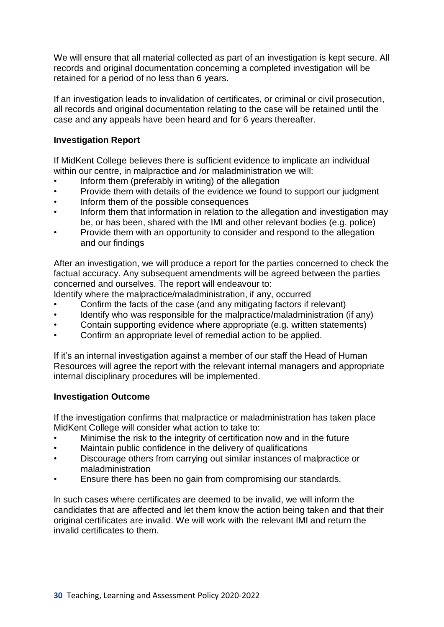We will ensure that all material collected as part of an investigation is kept secure. All records and original documentation concerning a completed investigation will be retained for a period of no less than 6 years.

If an investigation leads to invalidation of certificates, or criminal or civil prosecution, all records and original documentation relating to the case will be retained until the case and any appeals have been heard and for 6 years thereafter.

## **Investigation Report**

If MidKent College believes there is sufficient evidence to implicate an individual within our centre, in malpractice and /or maladministration we will:

- Inform them (preferably in writing) of the allegation
- Provide them with details of the evidence we found to support our judgment
- Inform them of the possible consequences
- Inform them that information in relation to the allegation and investigation may be, or has been, shared with the IMI and other relevant bodies (e.g. police)
- Provide them with an opportunity to consider and respond to the allegation and our findings

After an investigation, we will produce a report for the parties concerned to check the factual accuracy. Any subsequent amendments will be agreed between the parties concerned and ourselves. The report will endeavour to:

Identify where the malpractice/maladministration, if any, occurred

- Confirm the facts of the case (and any mitigating factors if relevant)
- Identify who was responsible for the malpractice/maladministration (if any)
- Contain supporting evidence where appropriate (e.g. written statements)
- Confirm an appropriate level of remedial action to be applied.

If it's an internal investigation against a member of our staff the Head of Human Resources will agree the report with the relevant internal managers and appropriate internal disciplinary procedures will be implemented.

#### **Investigation Outcome**

If the investigation confirms that malpractice or maladministration has taken place MidKent College will consider what action to take to:

- Minimise the risk to the integrity of certification now and in the future
- Maintain public confidence in the delivery of qualifications
- Discourage others from carrying out similar instances of malpractice or maladministration
- Ensure there has been no gain from compromising our standards.

In such cases where certificates are deemed to be invalid, we will inform the candidates that are affected and let them know the action being taken and that their original certificates are invalid. We will work with the relevant IMI and return the invalid certificates to them.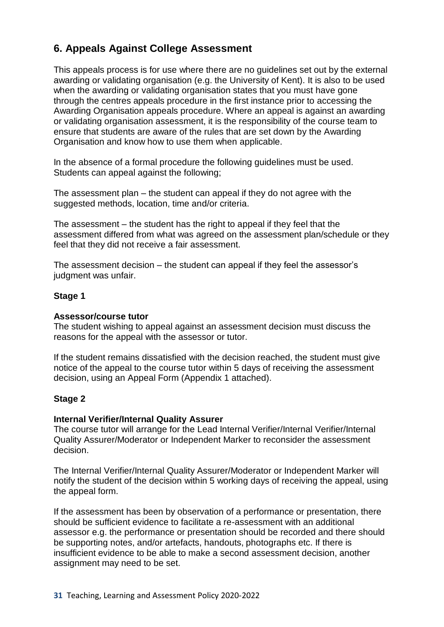## **6. Appeals Against College Assessment**

This appeals process is for use where there are no guidelines set out by the external awarding or validating organisation (e.g. the University of Kent). It is also to be used when the awarding or validating organisation states that you must have gone through the centres appeals procedure in the first instance prior to accessing the Awarding Organisation appeals procedure. Where an appeal is against an awarding or validating organisation assessment, it is the responsibility of the course team to ensure that students are aware of the rules that are set down by the Awarding Organisation and know how to use them when applicable.

In the absence of a formal procedure the following guidelines must be used. Students can appeal against the following;

The assessment plan – the student can appeal if they do not agree with the suggested methods, location, time and/or criteria.

The assessment – the student has the right to appeal if they feel that the assessment differed from what was agreed on the assessment plan/schedule or they feel that they did not receive a fair assessment.

The assessment decision – the student can appeal if they feel the assessor's judgment was unfair.

#### **Stage 1**

#### **Assessor/course tutor**

The student wishing to appeal against an assessment decision must discuss the reasons for the appeal with the assessor or tutor.

If the student remains dissatisfied with the decision reached, the student must give notice of the appeal to the course tutor within 5 days of receiving the assessment decision, using an Appeal Form (Appendix 1 attached).

#### **Stage 2**

#### **Internal Verifier/Internal Quality Assurer**

The course tutor will arrange for the Lead Internal Verifier/Internal Verifier/Internal Quality Assurer/Moderator or Independent Marker to reconsider the assessment decision.

The Internal Verifier/Internal Quality Assurer/Moderator or Independent Marker will notify the student of the decision within 5 working days of receiving the appeal, using the appeal form.

If the assessment has been by observation of a performance or presentation, there should be sufficient evidence to facilitate a re-assessment with an additional assessor e.g. the performance or presentation should be recorded and there should be supporting notes, and/or artefacts, handouts, photographs etc. If there is insufficient evidence to be able to make a second assessment decision, another assignment may need to be set.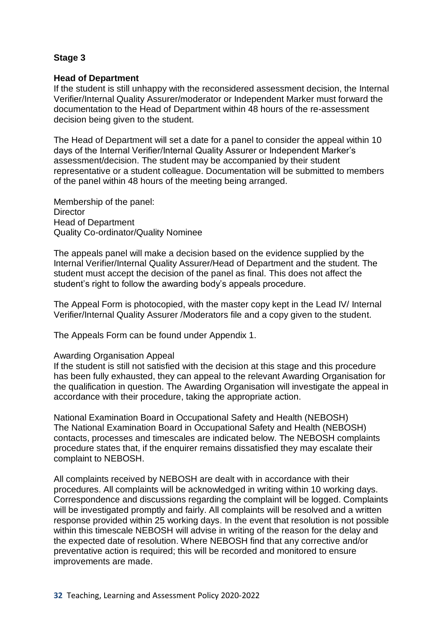## **Stage 3**

#### **Head of Department**

If the student is still unhappy with the reconsidered assessment decision, the Internal Verifier/Internal Quality Assurer/moderator or Independent Marker must forward the documentation to the Head of Department within 48 hours of the re-assessment decision being given to the student.

The Head of Department will set a date for a panel to consider the appeal within 10 days of the Internal Verifier/Internal Quality Assurer or Independent Marker's assessment/decision. The student may be accompanied by their student representative or a student colleague. Documentation will be submitted to members of the panel within 48 hours of the meeting being arranged.

Membership of the panel: **Director** Head of Department Quality Co-ordinator/Quality Nominee

The appeals panel will make a decision based on the evidence supplied by the Internal Verifier/Internal Quality Assurer/Head of Department and the student. The student must accept the decision of the panel as final. This does not affect the student's right to follow the awarding body's appeals procedure.

The Appeal Form is photocopied, with the master copy kept in the Lead IV/ Internal Verifier/Internal Quality Assurer /Moderators file and a copy given to the student.

The Appeals Form can be found under Appendix 1.

#### Awarding Organisation Appeal

If the student is still not satisfied with the decision at this stage and this procedure has been fully exhausted, they can appeal to the relevant Awarding Organisation for the qualification in question. The Awarding Organisation will investigate the appeal in accordance with their procedure, taking the appropriate action.

National Examination Board in Occupational Safety and Health (NEBOSH) The National Examination Board in Occupational Safety and Health (NEBOSH) contacts, processes and timescales are indicated below. The NEBOSH complaints procedure states that, if the enquirer remains dissatisfied they may escalate their complaint to NEBOSH.

All complaints received by NEBOSH are dealt with in accordance with their procedures. All complaints will be acknowledged in writing within 10 working days. Correspondence and discussions regarding the complaint will be logged. Complaints will be investigated promptly and fairly. All complaints will be resolved and a written response provided within 25 working days. In the event that resolution is not possible within this timescale NEBOSH will advise in writing of the reason for the delay and the expected date of resolution. Where NEBOSH find that any corrective and/or preventative action is required; this will be recorded and monitored to ensure improvements are made.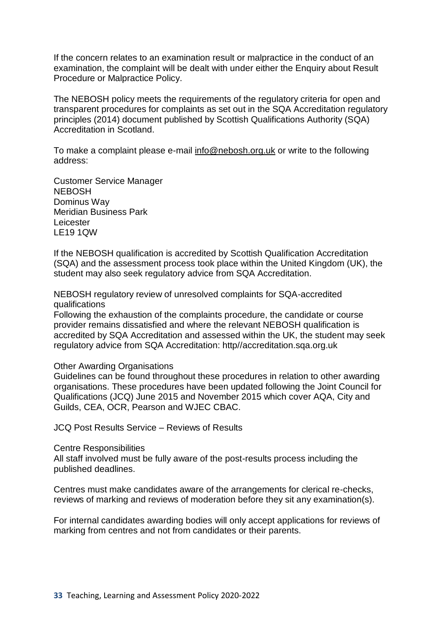If the concern relates to an examination result or malpractice in the conduct of an examination, the complaint will be dealt with under either the Enquiry about Result Procedure or Malpractice Policy.

The NEBOSH policy meets the requirements of the regulatory criteria for open and transparent procedures for complaints as set out in the SQA Accreditation regulatory principles (2014) document published by Scottish Qualifications Authority (SQA) Accreditation in Scotland.

To make a complaint please e-mail [info@nebosh.org.uk](mailto:info@nebosh.org.uk) or write to the following address:

Customer Service Manager NEBOSH Dominus Way Meridian Business Park Leicester LE19 1QW

If the NEBOSH qualification is accredited by Scottish Qualification Accreditation (SQA) and the assessment process took place within the United Kingdom (UK), the student may also seek regulatory advice from SQA Accreditation.

NEBOSH regulatory review of unresolved complaints for SQA-accredited qualifications

Following the exhaustion of the complaints procedure, the candidate or course provider remains dissatisfied and where the relevant NEBOSH qualification is accredited by SQA Accreditation and assessed within the UK, the student may seek regulatory advice from SQA Accreditation: http//accreditation.sqa.org.uk

#### Other Awarding Organisations

Guidelines can be found throughout these procedures in relation to other awarding organisations. These procedures have been updated following the Joint Council for Qualifications (JCQ) June 2015 and November 2015 which cover AQA, City and Guilds, CEA, OCR, Pearson and WJEC CBAC.

JCQ Post Results Service – Reviews of Results

#### Centre Responsibilities

All staff involved must be fully aware of the post-results process including the published deadlines.

Centres must make candidates aware of the arrangements for clerical re-checks, reviews of marking and reviews of moderation before they sit any examination(s).

For internal candidates awarding bodies will only accept applications for reviews of marking from centres and not from candidates or their parents.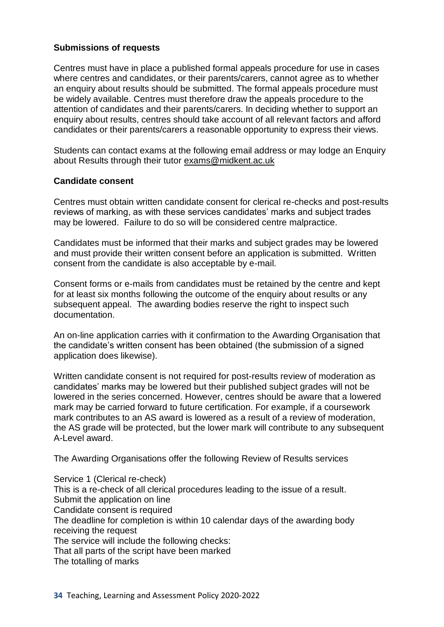### **Submissions of requests**

Centres must have in place a published formal appeals procedure for use in cases where centres and candidates, or their parents/carers, cannot agree as to whether an enquiry about results should be submitted. The formal appeals procedure must be widely available. Centres must therefore draw the appeals procedure to the attention of candidates and their parents/carers. In deciding whether to support an enquiry about results, centres should take account of all relevant factors and afford candidates or their parents/carers a reasonable opportunity to express their views.

Students can contact exams at the following email address or may lodge an Enquiry about Results through their tutor [exams@midkent.ac.uk](mailto:exams@midkent.ac.uk)

#### **Candidate consent**

Centres must obtain written candidate consent for clerical re-checks and post-results reviews of marking, as with these services candidates' marks and subject trades may be lowered. Failure to do so will be considered centre malpractice.

Candidates must be informed that their marks and subject grades may be lowered and must provide their written consent before an application is submitted. Written consent from the candidate is also acceptable by e-mail.

Consent forms or e-mails from candidates must be retained by the centre and kept for at least six months following the outcome of the enquiry about results or any subsequent appeal. The awarding bodies reserve the right to inspect such documentation.

An on-line application carries with it confirmation to the Awarding Organisation that the candidate's written consent has been obtained (the submission of a signed application does likewise).

Written candidate consent is not required for post-results review of moderation as candidates' marks may be lowered but their published subject grades will not be lowered in the series concerned. However, centres should be aware that a lowered mark may be carried forward to future certification. For example, if a coursework mark contributes to an AS award is lowered as a result of a review of moderation, the AS grade will be protected, but the lower mark will contribute to any subsequent A-Level award.

The Awarding Organisations offer the following Review of Results services

Service 1 (Clerical re-check) This is a re-check of all clerical procedures leading to the issue of a result. Submit the application on line Candidate consent is required The deadline for completion is within 10 calendar days of the awarding body receiving the request The service will include the following checks: That all parts of the script have been marked The totalling of marks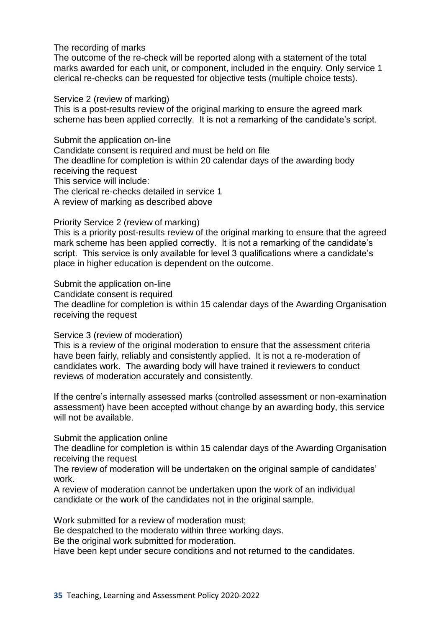#### The recording of marks

The outcome of the re-check will be reported along with a statement of the total marks awarded for each unit, or component, included in the enquiry. Only service 1 clerical re-checks can be requested for objective tests (multiple choice tests).

#### Service 2 (review of marking)

This is a post-results review of the original marking to ensure the agreed mark scheme has been applied correctly. It is not a remarking of the candidate's script.

Submit the application on-line

Candidate consent is required and must be held on file The deadline for completion is within 20 calendar days of the awarding body receiving the request This service will include:

The clerical re-checks detailed in service 1

A review of marking as described above

Priority Service 2 (review of marking)

This is a priority post-results review of the original marking to ensure that the agreed mark scheme has been applied correctly. It is not a remarking of the candidate's script. This service is only available for level 3 qualifications where a candidate's place in higher education is dependent on the outcome.

Submit the application on-line

Candidate consent is required

The deadline for completion is within 15 calendar days of the Awarding Organisation receiving the request

#### Service 3 (review of moderation)

This is a review of the original moderation to ensure that the assessment criteria have been fairly, reliably and consistently applied. It is not a re-moderation of candidates work. The awarding body will have trained it reviewers to conduct reviews of moderation accurately and consistently.

If the centre's internally assessed marks (controlled assessment or non-examination assessment) have been accepted without change by an awarding body, this service will not be available.

Submit the application online

The deadline for completion is within 15 calendar days of the Awarding Organisation receiving the request

The review of moderation will be undertaken on the original sample of candidates' work.

A review of moderation cannot be undertaken upon the work of an individual candidate or the work of the candidates not in the original sample.

Work submitted for a review of moderation must;

Be despatched to the moderato within three working days.

Be the original work submitted for moderation.

Have been kept under secure conditions and not returned to the candidates.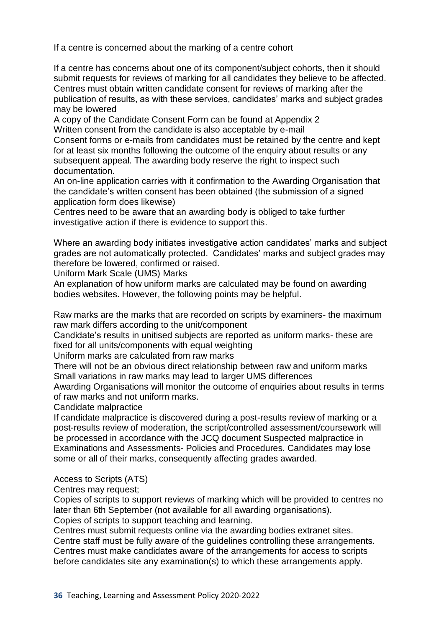If a centre is concerned about the marking of a centre cohort

If a centre has concerns about one of its component/subject cohorts, then it should submit requests for reviews of marking for all candidates they believe to be affected. Centres must obtain written candidate consent for reviews of marking after the publication of results, as with these services, candidates' marks and subject grades may be lowered

A copy of the Candidate Consent Form can be found at Appendix 2 Written consent from the candidate is also acceptable by e-mail

Consent forms or e-mails from candidates must be retained by the centre and kept for at least six months following the outcome of the enquiry about results or any subsequent appeal. The awarding body reserve the right to inspect such documentation.

An on-line application carries with it confirmation to the Awarding Organisation that the candidate's written consent has been obtained (the submission of a signed application form does likewise)

Centres need to be aware that an awarding body is obliged to take further investigative action if there is evidence to support this.

Where an awarding body initiates investigative action candidates' marks and subject grades are not automatically protected. Candidates' marks and subject grades may therefore be lowered, confirmed or raised.

Uniform Mark Scale (UMS) Marks

An explanation of how uniform marks are calculated may be found on awarding bodies websites. However, the following points may be helpful.

Raw marks are the marks that are recorded on scripts by examiners- the maximum raw mark differs according to the unit/component

Candidate's results in unitised subjects are reported as uniform marks- these are fixed for all units/components with equal weighting

Uniform marks are calculated from raw marks

There will not be an obvious direct relationship between raw and uniform marks Small variations in raw marks may lead to larger UMS differences

Awarding Organisations will monitor the outcome of enquiries about results in terms of raw marks and not uniform marks.

Candidate malpractice

If candidate malpractice is discovered during a post-results review of marking or a post-results review of moderation, the script/controlled assessment/coursework will be processed in accordance with the JCQ document Suspected malpractice in Examinations and Assessments- Policies and Procedures. Candidates may lose some or all of their marks, consequently affecting grades awarded.

Access to Scripts (ATS)

Centres may request;

Copies of scripts to support reviews of marking which will be provided to centres no later than 6th September (not available for all awarding organisations).

Copies of scripts to support teaching and learning.

Centres must submit requests online via the awarding bodies extranet sites.

Centre staff must be fully aware of the guidelines controlling these arrangements. Centres must make candidates aware of the arrangements for access to scripts before candidates site any examination(s) to which these arrangements apply.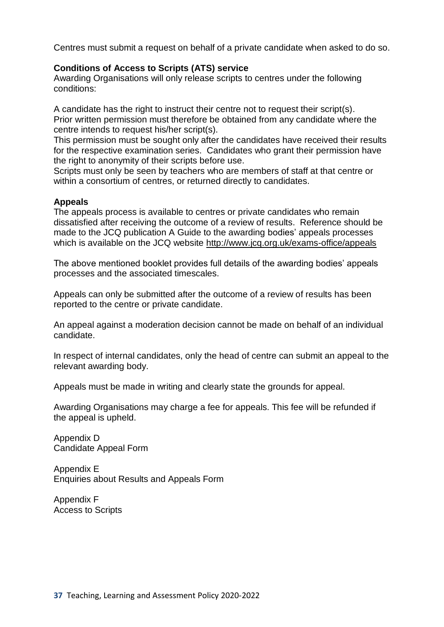Centres must submit a request on behalf of a private candidate when asked to do so.

## **Conditions of Access to Scripts (ATS) service**

Awarding Organisations will only release scripts to centres under the following conditions:

A candidate has the right to instruct their centre not to request their script(s). Prior written permission must therefore be obtained from any candidate where the centre intends to request his/her script(s).

This permission must be sought only after the candidates have received their results for the respective examination series. Candidates who grant their permission have the right to anonymity of their scripts before use.

Scripts must only be seen by teachers who are members of staff at that centre or within a consortium of centres, or returned directly to candidates.

#### **Appeals**

The appeals process is available to centres or private candidates who remain dissatisfied after receiving the outcome of a review of results. Reference should be made to the JCQ publication A Guide to the awarding bodies' appeals processes which is available on the JCQ website<http://www.jcq.org.uk/exams-office/appeals>

The above mentioned booklet provides full details of the awarding bodies' appeals processes and the associated timescales.

Appeals can only be submitted after the outcome of a review of results has been reported to the centre or private candidate.

An appeal against a moderation decision cannot be made on behalf of an individual candidate.

In respect of internal candidates, only the head of centre can submit an appeal to the relevant awarding body.

Appeals must be made in writing and clearly state the grounds for appeal.

Awarding Organisations may charge a fee for appeals. This fee will be refunded if the appeal is upheld.

Appendix D Candidate Appeal Form

Appendix E Enquiries about Results and Appeals Form

Appendix F Access to Scripts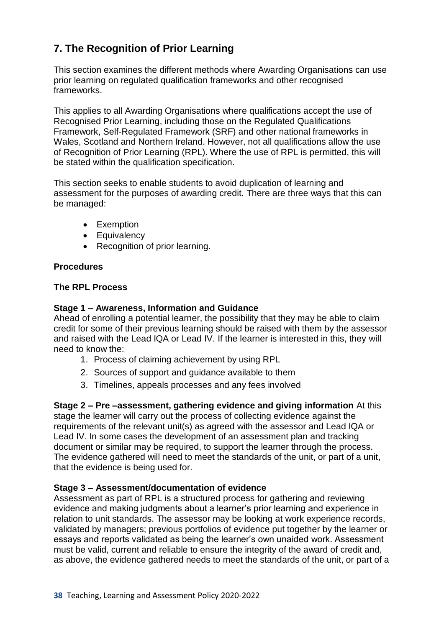## **7. The Recognition of Prior Learning**

This section examines the different methods where Awarding Organisations can use prior learning on regulated qualification frameworks and other recognised frameworks.

This applies to all Awarding Organisations where qualifications accept the use of Recognised Prior Learning, including those on the Regulated Qualifications Framework, Self-Regulated Framework (SRF) and other national frameworks in Wales, Scotland and Northern Ireland. However, not all qualifications allow the use of Recognition of Prior Learning (RPL). Where the use of RPL is permitted, this will be stated within the qualification specification.

This section seeks to enable students to avoid duplication of learning and assessment for the purposes of awarding credit. There are three ways that this can be managed:

- Exemption
- Equivalency
- Recognition of prior learning.

## **Procedures**

#### **The RPL Process**

#### **Stage 1 – Awareness, Information and Guidance**

Ahead of enrolling a potential learner, the possibility that they may be able to claim credit for some of their previous learning should be raised with them by the assessor and raised with the Lead IQA or Lead IV. If the learner is interested in this, they will need to know the:

- 1. Process of claiming achievement by using RPL
- 2. Sources of support and guidance available to them
- 3. Timelines, appeals processes and any fees involved

**Stage 2 – Pre –assessment, gathering evidence and giving information** At this stage the learner will carry out the process of collecting evidence against the requirements of the relevant unit(s) as agreed with the assessor and Lead IQA or Lead IV. In some cases the development of an assessment plan and tracking document or similar may be required, to support the learner through the process. The evidence gathered will need to meet the standards of the unit, or part of a unit, that the evidence is being used for.

#### **Stage 3 – Assessment/documentation of evidence**

Assessment as part of RPL is a structured process for gathering and reviewing evidence and making judgments about a learner's prior learning and experience in relation to unit standards. The assessor may be looking at work experience records, validated by managers; previous portfolios of evidence put together by the learner or essays and reports validated as being the learner's own unaided work. Assessment must be valid, current and reliable to ensure the integrity of the award of credit and, as above, the evidence gathered needs to meet the standards of the unit, or part of a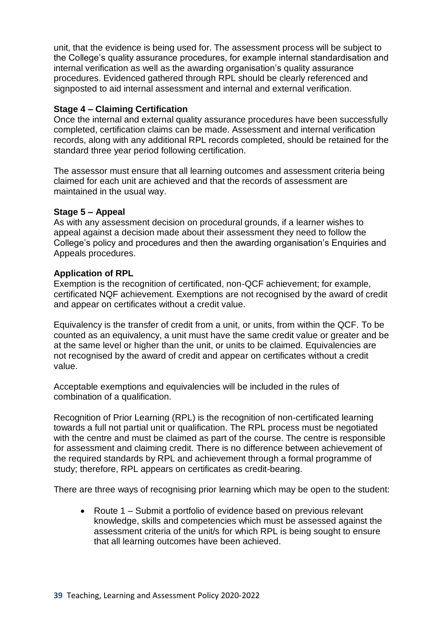unit, that the evidence is being used for. The assessment process will be subject to the College's quality assurance procedures, for example internal standardisation and internal verification as well as the awarding organisation's quality assurance procedures. Evidenced gathered through RPL should be clearly referenced and signposted to aid internal assessment and internal and external verification.

## **Stage 4 – Claiming Certification**

Once the internal and external quality assurance procedures have been successfully completed, certification claims can be made. Assessment and internal verification records, along with any additional RPL records completed, should be retained for the standard three year period following certification.

The assessor must ensure that all learning outcomes and assessment criteria being claimed for each unit are achieved and that the records of assessment are maintained in the usual way.

#### **Stage 5 – Appeal**

As with any assessment decision on procedural grounds, if a learner wishes to appeal against a decision made about their assessment they need to follow the College's policy and procedures and then the awarding organisation's Enquiries and Appeals procedures.

#### **Application of RPL**

Exemption is the recognition of certificated, non-QCF achievement; for example, certificated NQF achievement. Exemptions are not recognised by the award of credit and appear on certificates without a credit value.

Equivalency is the transfer of credit from a unit, or units, from within the QCF. To be counted as an equivalency, a unit must have the same credit value or greater and be at the same level or higher than the unit, or units to be claimed. Equivalencies are not recognised by the award of credit and appear on certificates without a credit value.

Acceptable exemptions and equivalencies will be included in the rules of combination of a qualification.

Recognition of Prior Learning (RPL) is the recognition of non-certificated learning towards a full not partial unit or qualification. The RPL process must be negotiated with the centre and must be claimed as part of the course. The centre is responsible for assessment and claiming credit. There is no difference between achievement of the required standards by RPL and achievement through a formal programme of study; therefore, RPL appears on certificates as credit-bearing.

There are three ways of recognising prior learning which may be open to the student:

• Route 1 – Submit a portfolio of evidence based on previous relevant knowledge, skills and competencies which must be assessed against the assessment criteria of the unit/s for which RPL is being sought to ensure that all learning outcomes have been achieved.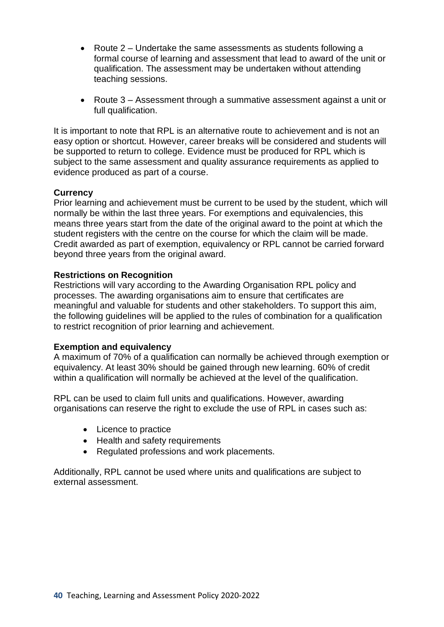- Route 2 Undertake the same assessments as students following a formal course of learning and assessment that lead to award of the unit or qualification. The assessment may be undertaken without attending teaching sessions.
- Route 3 Assessment through a summative assessment against a unit or full qualification.

It is important to note that RPL is an alternative route to achievement and is not an easy option or shortcut. However, career breaks will be considered and students will be supported to return to college. Evidence must be produced for RPL which is subject to the same assessment and quality assurance requirements as applied to evidence produced as part of a course.

#### **Currency**

Prior learning and achievement must be current to be used by the student, which will normally be within the last three years. For exemptions and equivalencies, this means three years start from the date of the original award to the point at which the student registers with the centre on the course for which the claim will be made. Credit awarded as part of exemption, equivalency or RPL cannot be carried forward beyond three years from the original award.

#### **Restrictions on Recognition**

Restrictions will vary according to the Awarding Organisation RPL policy and processes. The awarding organisations aim to ensure that certificates are meaningful and valuable for students and other stakeholders. To support this aim, the following guidelines will be applied to the rules of combination for a qualification to restrict recognition of prior learning and achievement.

#### **Exemption and equivalency**

A maximum of 70% of a qualification can normally be achieved through exemption or equivalency. At least 30% should be gained through new learning. 60% of credit within a qualification will normally be achieved at the level of the qualification.

RPL can be used to claim full units and qualifications. However, awarding organisations can reserve the right to exclude the use of RPL in cases such as:

- Licence to practice
- Health and safety requirements
- Regulated professions and work placements.

Additionally, RPL cannot be used where units and qualifications are subject to external assessment.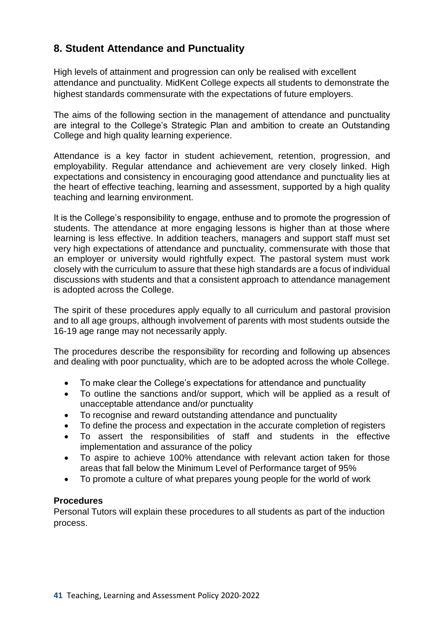## **8. Student Attendance and Punctuality**

High levels of attainment and progression can only be realised with excellent attendance and punctuality. MidKent College expects all students to demonstrate the highest standards commensurate with the expectations of future employers.

The aims of the following section in the management of attendance and punctuality are integral to the College's Strategic Plan and ambition to create an Outstanding College and high quality learning experience.

Attendance is a key factor in student achievement, retention, progression, and employability. Regular attendance and achievement are very closely linked. High expectations and consistency in encouraging good attendance and punctuality lies at the heart of effective teaching, learning and assessment, supported by a high quality teaching and learning environment.

It is the College's responsibility to engage, enthuse and to promote the progression of students. The attendance at more engaging lessons is higher than at those where learning is less effective. In addition teachers, managers and support staff must set very high expectations of attendance and punctuality, commensurate with those that an employer or university would rightfully expect. The pastoral system must work closely with the curriculum to assure that these high standards are a focus of individual discussions with students and that a consistent approach to attendance management is adopted across the College.

The spirit of these procedures apply equally to all curriculum and pastoral provision and to all age groups, although involvement of parents with most students outside the 16-19 age range may not necessarily apply.

The procedures describe the responsibility for recording and following up absences and dealing with poor punctuality, which are to be adopted across the whole College.

- To make clear the College's expectations for attendance and punctuality
- To outline the sanctions and/or support, which will be applied as a result of unacceptable attendance and/or punctuality
- To recognise and reward outstanding attendance and punctuality
- To define the process and expectation in the accurate completion of registers
- To assert the responsibilities of staff and students in the effective implementation and assurance of the policy
- To aspire to achieve 100% attendance with relevant action taken for those areas that fall below the Minimum Level of Performance target of 95%
- To promote a culture of what prepares young people for the world of work

#### **Procedures**

Personal Tutors will explain these procedures to all students as part of the induction process.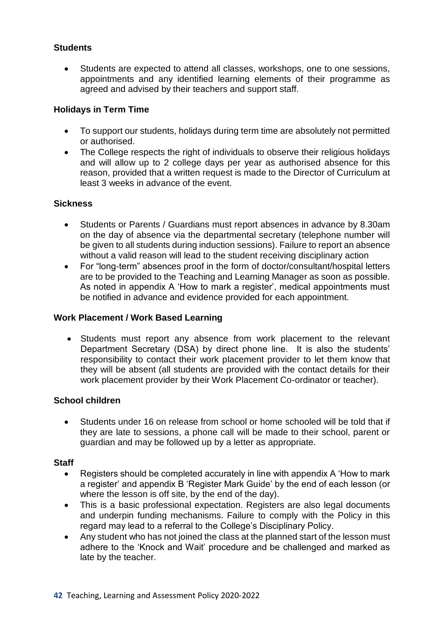## **Students**

• Students are expected to attend all classes, workshops, one to one sessions, appointments and any identified learning elements of their programme as agreed and advised by their teachers and support staff.

### **Holidays in Term Time**

- To support our students, holidays during term time are absolutely not permitted or authorised.
- The College respects the right of individuals to observe their religious holidays and will allow up to 2 college days per year as authorised absence for this reason, provided that a written request is made to the Director of Curriculum at least 3 weeks in advance of the event.

#### **Sickness**

- Students or Parents / Guardians must report absences in advance by 8.30am on the day of absence via the departmental secretary (telephone number will be given to all students during induction sessions). Failure to report an absence without a valid reason will lead to the student receiving disciplinary action
- For "long-term" absences proof in the form of doctor/consultant/hospital letters are to be provided to the Teaching and Learning Manager as soon as possible. As noted in appendix A 'How to mark a register', medical appointments must be notified in advance and evidence provided for each appointment.

#### **Work Placement / Work Based Learning**

• Students must report any absence from work placement to the relevant Department Secretary (DSA) by direct phone line. It is also the students' responsibility to contact their work placement provider to let them know that they will be absent (all students are provided with the contact details for their work placement provider by their Work Placement Co-ordinator or teacher).

#### **School children**

• Students under 16 on release from school or home schooled will be told that if they are late to sessions, a phone call will be made to their school, parent or guardian and may be followed up by a letter as appropriate.

#### **Staff**

- Registers should be completed accurately in line with appendix A 'How to mark a register' and appendix B 'Register Mark Guide' by the end of each lesson (or where the lesson is off site, by the end of the day).
- This is a basic professional expectation. Registers are also legal documents and underpin funding mechanisms. Failure to comply with the Policy in this regard may lead to a referral to the College's Disciplinary Policy.
- Any student who has not joined the class at the planned start of the lesson must adhere to the 'Knock and Wait' procedure and be challenged and marked as late by the teacher.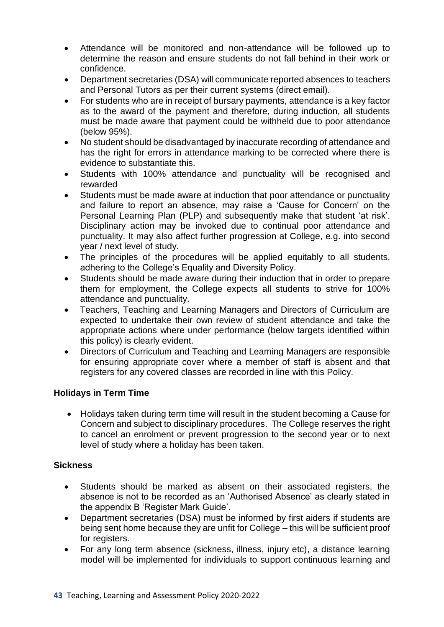- Attendance will be monitored and non-attendance will be followed up to determine the reason and ensure students do not fall behind in their work or confidence.
- Department secretaries (DSA) will communicate reported absences to teachers and Personal Tutors as per their current systems (direct email).
- For students who are in receipt of bursary payments, attendance is a key factor as to the award of the payment and therefore, during induction, all students must be made aware that payment could be withheld due to poor attendance (below 95%).
- No student should be disadvantaged by inaccurate recording of attendance and has the right for errors in attendance marking to be corrected where there is evidence to substantiate this.
- Students with 100% attendance and punctuality will be recognised and rewarded
- Students must be made aware at induction that poor attendance or punctuality and failure to report an absence, may raise a 'Cause for Concern' on the Personal Learning Plan (PLP) and subsequently make that student 'at risk'. Disciplinary action may be invoked due to continual poor attendance and punctuality. It may also affect further progression at College, e.g. into second year / next level of study.
- The principles of the procedures will be applied equitably to all students, adhering to the College's Equality and Diversity Policy.
- Students should be made aware during their induction that in order to prepare them for employment, the College expects all students to strive for 100% attendance and punctuality.
- Teachers, Teaching and Learning Managers and Directors of Curriculum are expected to undertake their own review of student attendance and take the appropriate actions where under performance (below targets identified within this policy) is clearly evident.
- Directors of Curriculum and Teaching and Learning Managers are responsible for ensuring appropriate cover where a member of staff is absent and that registers for any covered classes are recorded in line with this Policy.

## **Holidays in Term Time**

• Holidays taken during term time will result in the student becoming a Cause for Concern and subject to disciplinary procedures. The College reserves the right to cancel an enrolment or prevent progression to the second year or to next level of study where a holiday has been taken.

## **Sickness**

- Students should be marked as absent on their associated registers, the absence is not to be recorded as an 'Authorised Absence' as clearly stated in the appendix B 'Register Mark Guide'.
- Department secretaries (DSA) must be informed by first aiders if students are being sent home because they are unfit for College – this will be sufficient proof for registers.
- For any long term absence (sickness, illness, injury etc), a distance learning model will be implemented for individuals to support continuous learning and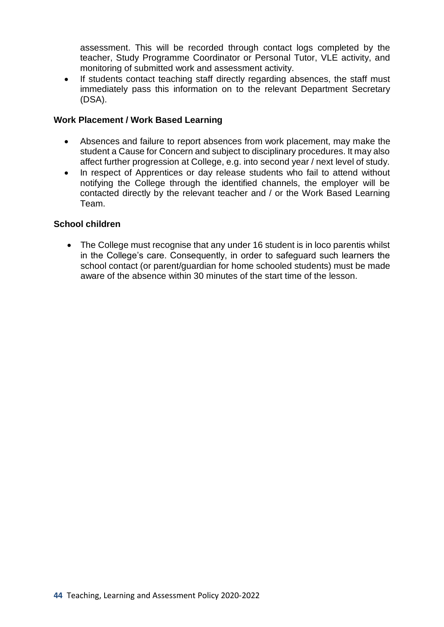assessment. This will be recorded through contact logs completed by the teacher, Study Programme Coordinator or Personal Tutor, VLE activity, and monitoring of submitted work and assessment activity.

If students contact teaching staff directly regarding absences, the staff must immediately pass this information on to the relevant Department Secretary (DSA).

### **Work Placement / Work Based Learning**

- Absences and failure to report absences from work placement, may make the student a Cause for Concern and subject to disciplinary procedures. It may also affect further progression at College, e.g. into second year / next level of study.
- In respect of Apprentices or day release students who fail to attend without notifying the College through the identified channels, the employer will be contacted directly by the relevant teacher and / or the Work Based Learning Team.

## **School children**

• The College must recognise that any under 16 student is in loco parentis whilst in the College's care. Consequently, in order to safeguard such learners the school contact (or parent/guardian for home schooled students) must be made aware of the absence within 30 minutes of the start time of the lesson.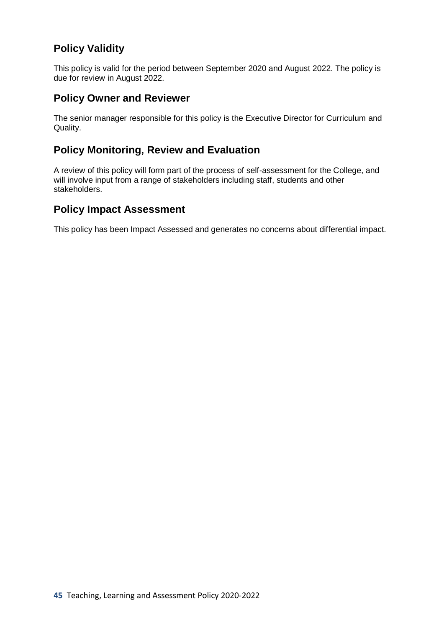## **Policy Validity**

This policy is valid for the period between September 2020 and August 2022. The policy is due for review in August 2022.

## **Policy Owner and Reviewer**

The senior manager responsible for this policy is the Executive Director for Curriculum and Quality.

## **Policy Monitoring, Review and Evaluation**

A review of this policy will form part of the process of self-assessment for the College, and will involve input from a range of stakeholders including staff, students and other stakeholders.

## **Policy Impact Assessment**

This policy has been Impact Assessed and generates no concerns about differential impact.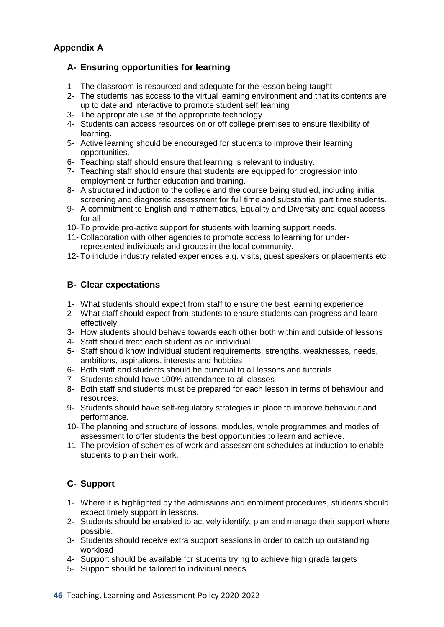## **Appendix A**

## **A- Ensuring opportunities for learning**

- 1- The classroom is resourced and adequate for the lesson being taught
- 2- The students has access to the virtual learning environment and that its contents are up to date and interactive to promote student self learning
- 3- The appropriate use of the appropriate technology
- 4- Students can access resources on or off college premises to ensure flexibility of learning.
- 5- Active learning should be encouraged for students to improve their learning opportunities.
- 6- Teaching staff should ensure that learning is relevant to industry.
- 7- Teaching staff should ensure that students are equipped for progression into employment or further education and training.
- 8- A structured induction to the college and the course being studied, including initial screening and diagnostic assessment for full time and substantial part time students.
- 9- A commitment to English and mathematics, Equality and Diversity and equal access for all
- 10- To provide pro-active support for students with learning support needs.
- 11- Collaboration with other agencies to promote access to learning for underrepresented individuals and groups in the local community.
- 12- To include industry related experiences e.g. visits, guest speakers or placements etc

## **B- Clear expectations**

- 1- What students should expect from staff to ensure the best learning experience
- 2- What staff should expect from students to ensure students can progress and learn effectively
- 3- How students should behave towards each other both within and outside of lessons
- 4- Staff should treat each student as an individual
- 5- Staff should know individual student requirements, strengths, weaknesses, needs, ambitions, aspirations, interests and hobbies
- 6- Both staff and students should be punctual to all lessons and tutorials
- 7- Students should have 100% attendance to all classes
- 8- Both staff and students must be prepared for each lesson in terms of behaviour and resources.
- 9- Students should have self-regulatory strategies in place to improve behaviour and performance.
- 10- The planning and structure of lessons, modules, whole programmes and modes of assessment to offer students the best opportunities to learn and achieve.
- 11- The provision of schemes of work and assessment schedules at induction to enable students to plan their work.

## **C- Support**

- 1- Where it is highlighted by the admissions and enrolment procedures, students should expect timely support in lessons.
- 2- Students should be enabled to actively identify, plan and manage their support where possible.
- 3- Students should receive extra support sessions in order to catch up outstanding workload
- 4- Support should be available for students trying to achieve high grade targets
- 5- Support should be tailored to individual needs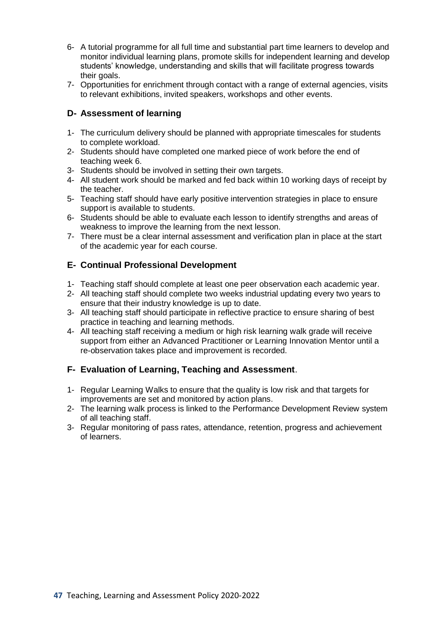- 6- A tutorial programme for all full time and substantial part time learners to develop and monitor individual learning plans, promote skills for independent learning and develop students' knowledge, understanding and skills that will facilitate progress towards their goals.
- 7- Opportunities for enrichment through contact with a range of external agencies, visits to relevant exhibitions, invited speakers, workshops and other events.

## **D- Assessment of learning**

- 1- The curriculum delivery should be planned with appropriate timescales for students to complete workload.
- 2- Students should have completed one marked piece of work before the end of teaching week 6.
- 3- Students should be involved in setting their own targets.
- 4- All student work should be marked and fed back within 10 working days of receipt by the teacher.
- 5- Teaching staff should have early positive intervention strategies in place to ensure support is available to students.
- 6- Students should be able to evaluate each lesson to identify strengths and areas of weakness to improve the learning from the next lesson.
- 7- There must be a clear internal assessment and verification plan in place at the start of the academic year for each course.

#### **E- Continual Professional Development**

- 1- Teaching staff should complete at least one peer observation each academic year.
- 2- All teaching staff should complete two weeks industrial updating every two years to ensure that their industry knowledge is up to date.
- 3- All teaching staff should participate in reflective practice to ensure sharing of best practice in teaching and learning methods.
- 4- All teaching staff receiving a medium or high risk learning walk grade will receive support from either an Advanced Practitioner or Learning Innovation Mentor until a re-observation takes place and improvement is recorded.

#### **F- Evaluation of Learning, Teaching and Assessment**.

- 1- Regular Learning Walks to ensure that the quality is low risk and that targets for improvements are set and monitored by action plans.
- 2- The learning walk process is linked to the Performance Development Review system of all teaching staff.
- 3- Regular monitoring of pass rates, attendance, retention, progress and achievement of learners.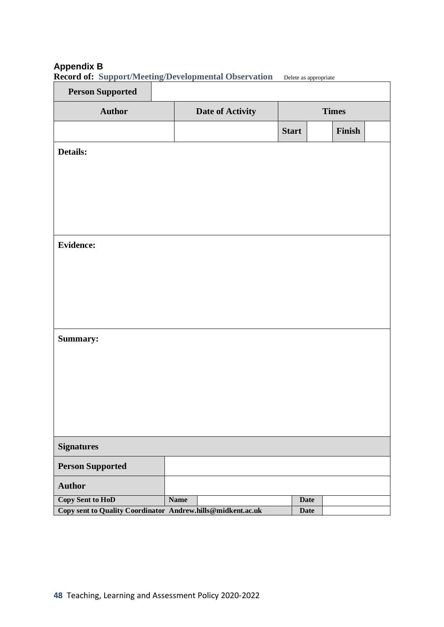## **Appendix B**

| <b>Person Supported</b>                                     |             |                  |              |              |
|-------------------------------------------------------------|-------------|------------------|--------------|--------------|
| <b>Author</b>                                               |             | Date of Activity |              | <b>Times</b> |
|                                                             |             |                  | <b>Start</b> | Finish       |
| Details:                                                    |             |                  |              |              |
|                                                             |             |                  |              |              |
|                                                             |             |                  |              |              |
|                                                             |             |                  |              |              |
|                                                             |             |                  |              |              |
| <b>Evidence:</b>                                            |             |                  |              |              |
|                                                             |             |                  |              |              |
|                                                             |             |                  |              |              |
|                                                             |             |                  |              |              |
|                                                             |             |                  |              |              |
| Summary:                                                    |             |                  |              |              |
|                                                             |             |                  |              |              |
|                                                             |             |                  |              |              |
|                                                             |             |                  |              |              |
|                                                             |             |                  |              |              |
| <b>Signatures</b>                                           |             |                  |              |              |
| <b>Person Supported</b>                                     |             |                  |              |              |
| <b>Author</b>                                               |             |                  |              |              |
| Copy Sent to HoD                                            | <b>Name</b> |                  | <b>Date</b>  |              |
| Copy sent to Quality Coordinator Andrew.hills@midkent.ac.uk |             |                  | <b>Date</b>  |              |

**Record of: Support/Meeting/Developmental Observation** Delete as appropriate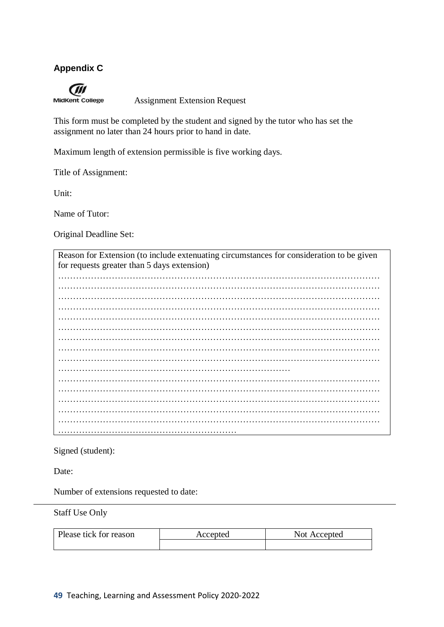## **Appendix C**

**MidKent College** 

Assignment Extension Request

This form must be completed by the student and signed by the tutor who has set the assignment no later than 24 hours prior to hand in date.

Maximum length of extension permissible is five working days.

Title of Assignment:

Unit:

Name of Tutor:

Original Deadline Set:

Reason for Extension (to include extenuating circumstances for consideration to be given for requests greater than 5 days extension) ……………………………………………………………………………………………… ……………………………………………………………………………………………… ……………………………………………………………………………………………… ……………………………………………………………………………………………… ……………………………………………………………………………………………… ……………………………………………………………………………………………… ……………………………………………………………………………………………… ……………………………………………………………………………………………… ……………………………………………………………………………………………… …………………………………………………………………… ……………………………………………………………………………………………… ……………………………………………………………………………………………… ……………………………………………………………………………………………… ……………………………………………………………………………………………… ……………………………………………………………………………………………… ……………………………………………………

Signed (student):

Date:

Number of extensions requested to date:

Staff Use Only

| Please tick for reason | Accepted | Not Accepted |  |
|------------------------|----------|--------------|--|
|                        |          |              |  |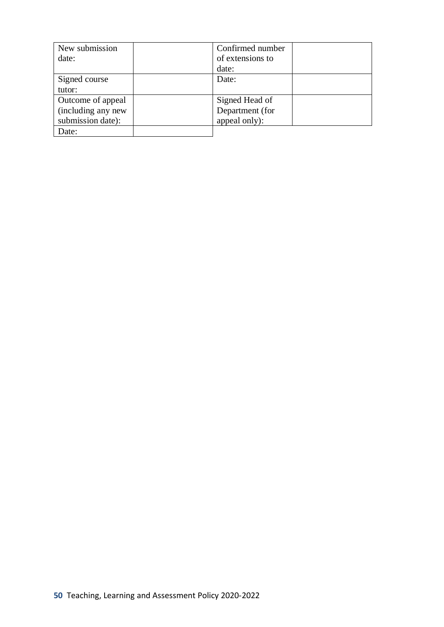| New submission     | Confirmed number |
|--------------------|------------------|
| date:              | of extensions to |
|                    | date:            |
| Signed course      | Date:            |
| tutor:             |                  |
| Outcome of appeal  | Signed Head of   |
| (including any new | Department (for  |
| submission date):  | appeal only):    |
| Date:              |                  |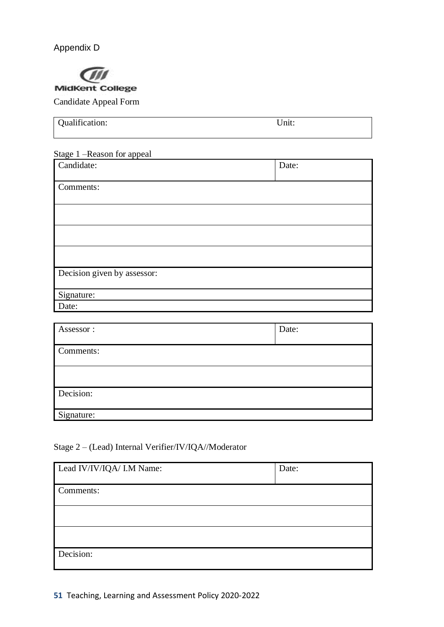Appendix D



| Qualification: | Init. |
|----------------|-------|
|                |       |

#### Stage 1 –Reason for appeal

| Candidate:                  | Date: |
|-----------------------------|-------|
| Comments:                   |       |
|                             |       |
|                             |       |
|                             |       |
|                             |       |
| Decision given by assessor: |       |
| Signature:                  |       |
| Date:                       |       |

| Assessor:  | Date: |
|------------|-------|
| Comments:  |       |
|            |       |
| Decision:  |       |
| Signature: |       |

## Stage 2 – (Lead) Internal Verifier/IV/IQA//Moderator

| Lead IV/IV/IQA/ I.M Name: | Date: |
|---------------------------|-------|
| Comments:                 |       |
|                           |       |
|                           |       |
| Decision:                 |       |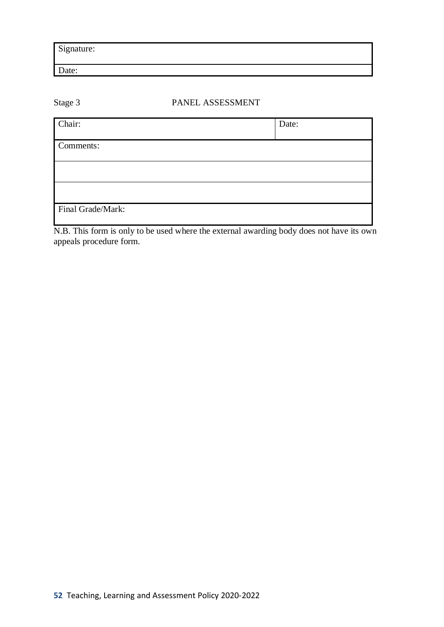Signature:

Date:

## Stage 3 PANEL ASSESSMENT

| Chair:            | Date: |
|-------------------|-------|
|                   |       |
| Comments:         |       |
|                   |       |
|                   |       |
|                   |       |
|                   |       |
|                   |       |
| Final Grade/Mark: |       |
|                   |       |

N.B. This form is only to be used where the external awarding body does not have its own appeals procedure form.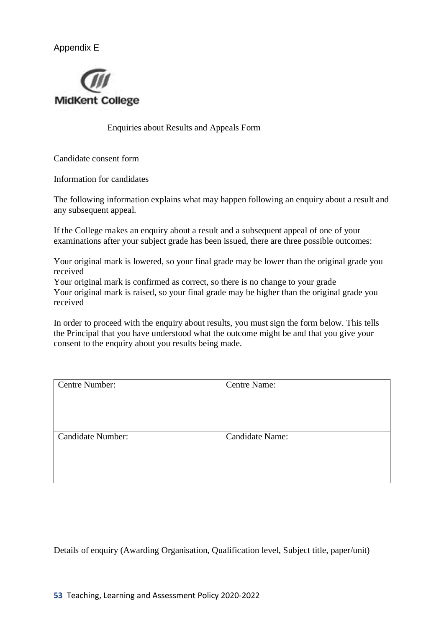Appendix E



Enquiries about Results and Appeals Form

Candidate consent form

Information for candidates

The following information explains what may happen following an enquiry about a result and any subsequent appeal.

If the College makes an enquiry about a result and a subsequent appeal of one of your examinations after your subject grade has been issued, there are three possible outcomes:

Your original mark is lowered, so your final grade may be lower than the original grade you received

Your original mark is confirmed as correct, so there is no change to your grade Your original mark is raised, so your final grade may be higher than the original grade you received

In order to proceed with the enquiry about results, you must sign the form below. This tells the Principal that you have understood what the outcome might be and that you give your consent to the enquiry about you results being made.

| <b>Centre Number:</b>    | <b>Centre Name:</b> |
|--------------------------|---------------------|
|                          |                     |
|                          |                     |
|                          |                     |
| <b>Candidate Number:</b> | Candidate Name:     |
|                          |                     |
|                          |                     |
|                          |                     |

Details of enquiry (Awarding Organisation, Qualification level, Subject title, paper/unit)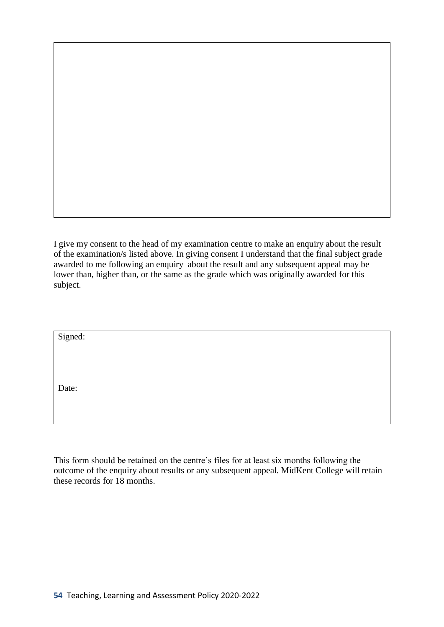I give my consent to the head of my examination centre to make an enquiry about the result of the examination/s listed above. In giving consent I understand that the final subject grade awarded to me following an enquiry about the result and any subsequent appeal may be lower than, higher than, or the same as the grade which was originally awarded for this subject.

| Signed: |  |  |
|---------|--|--|
|         |  |  |
|         |  |  |
|         |  |  |
| Date:   |  |  |
|         |  |  |
|         |  |  |

This form should be retained on the centre's files for at least six months following the outcome of the enquiry about results or any subsequent appeal. MidKent College will retain these records for 18 months.